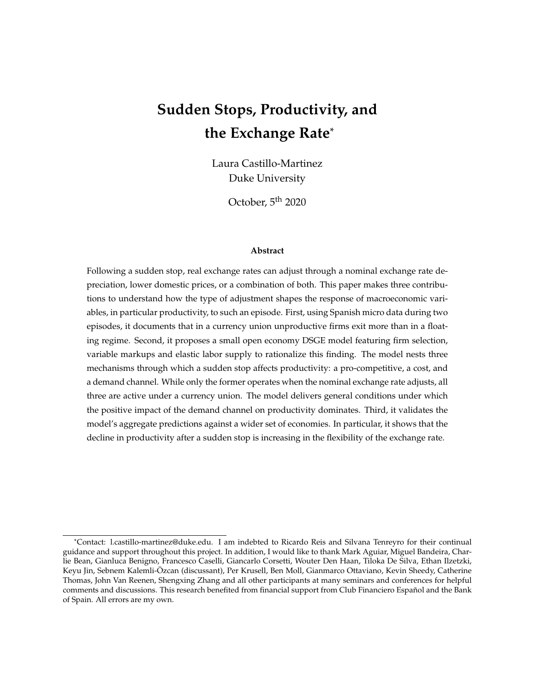# **Sudden Stops, Productivity, and the Exchange Rate**\*

Laura Castillo-Martinez Duke University

October, 5<sup>th</sup> 2020

#### **Abstract**

Following a sudden stop, real exchange rates can adjust through a nominal exchange rate depreciation, lower domestic prices, or a combination of both. This paper makes three contributions to understand how the type of adjustment shapes the response of macroeconomic variables, in particular productivity, to such an episode. First, using Spanish micro data during two episodes, it documents that in a currency union unproductive firms exit more than in a floating regime. Second, it proposes a small open economy DSGE model featuring firm selection, variable markups and elastic labor supply to rationalize this finding. The model nests three mechanisms through which a sudden stop affects productivity: a pro-competitive, a cost, and a demand channel. While only the former operates when the nominal exchange rate adjusts, all three are active under a currency union. The model delivers general conditions under which the positive impact of the demand channel on productivity dominates. Third, it validates the model's aggregate predictions against a wider set of economies. In particular, it shows that the decline in productivity after a sudden stop is increasing in the flexibility of the exchange rate.

<sup>\*</sup>Contact: l.castillo-martinez@duke.edu. I am indebted to Ricardo Reis and Silvana Tenreyro for their continual guidance and support throughout this project. In addition, I would like to thank Mark Aguiar, Miguel Bandeira, Charlie Bean, Gianluca Benigno, Francesco Caselli, Giancarlo Corsetti, Wouter Den Haan, Tiloka De Silva, Ethan Ilzetzki, Keyu Jin, Sebnem Kalemli-Ozcan (discussant), Per Krusell, Ben Moll, Gianmarco Ottaviano, Kevin Sheedy, Catherine ¨ Thomas, John Van Reenen, Shengxing Zhang and all other participants at many seminars and conferences for helpful comments and discussions. This research benefited from financial support from Club Financiero Español and the Bank of Spain. All errors are my own.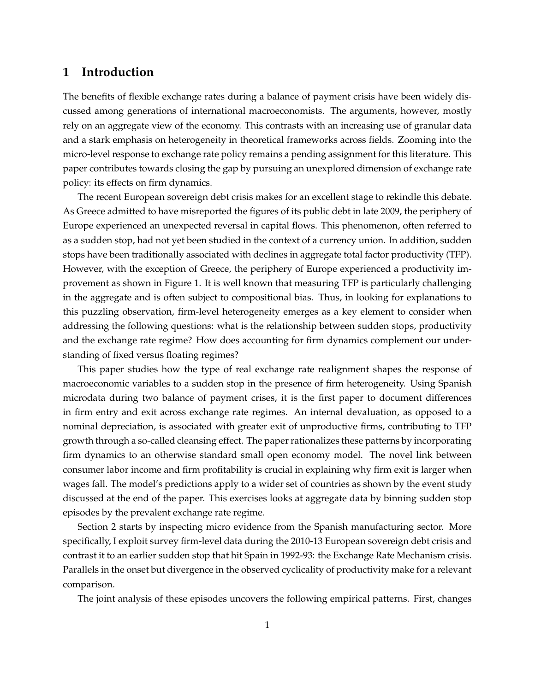# **1 Introduction**

The benefits of flexible exchange rates during a balance of payment crisis have been widely discussed among generations of international macroeconomists. The arguments, however, mostly rely on an aggregate view of the economy. This contrasts with an increasing use of granular data and a stark emphasis on heterogeneity in theoretical frameworks across fields. Zooming into the micro-level response to exchange rate policy remains a pending assignment for this literature. This paper contributes towards closing the gap by pursuing an unexplored dimension of exchange rate policy: its effects on firm dynamics.

The recent European sovereign debt crisis makes for an excellent stage to rekindle this debate. As Greece admitted to have misreported the figures of its public debt in late 2009, the periphery of Europe experienced an unexpected reversal in capital flows. This phenomenon, often referred to as a sudden stop, had not yet been studied in the context of a currency union. In addition, sudden stops have been traditionally associated with declines in aggregate total factor productivity (TFP). However, with the exception of Greece, the periphery of Europe experienced a productivity improvement as shown in Figure 1. It is well known that measuring TFP is particularly challenging in the aggregate and is often subject to compositional bias. Thus, in looking for explanations to this puzzling observation, firm-level heterogeneity emerges as a key element to consider when addressing the following questions: what is the relationship between sudden stops, productivity and the exchange rate regime? How does accounting for firm dynamics complement our understanding of fixed versus floating regimes?

This paper studies how the type of real exchange rate realignment shapes the response of macroeconomic variables to a sudden stop in the presence of firm heterogeneity. Using Spanish microdata during two balance of payment crises, it is the first paper to document differences in firm entry and exit across exchange rate regimes. An internal devaluation, as opposed to a nominal depreciation, is associated with greater exit of unproductive firms, contributing to TFP growth through a so-called cleansing effect. The paper rationalizes these patterns by incorporating firm dynamics to an otherwise standard small open economy model. The novel link between consumer labor income and firm profitability is crucial in explaining why firm exit is larger when wages fall. The model's predictions apply to a wider set of countries as shown by the event study discussed at the end of the paper. This exercises looks at aggregate data by binning sudden stop episodes by the prevalent exchange rate regime.

Section 2 starts by inspecting micro evidence from the Spanish manufacturing sector. More specifically, I exploit survey firm-level data during the 2010-13 European sovereign debt crisis and contrast it to an earlier sudden stop that hit Spain in 1992-93: the Exchange Rate Mechanism crisis. Parallels in the onset but divergence in the observed cyclicality of productivity make for a relevant comparison.

The joint analysis of these episodes uncovers the following empirical patterns. First, changes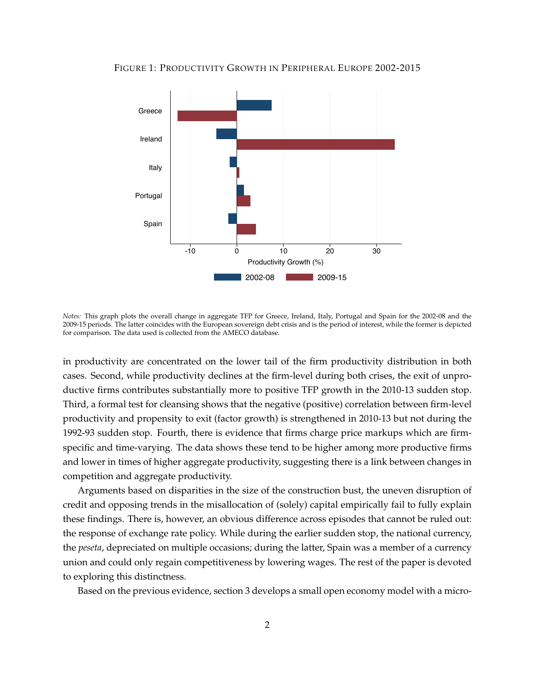



*Notes:* This graph plots the overall change in aggregate TFP for Greece, Ireland, Italy, Portugal and Spain for the 2002-08 and the 2009-15 periods. The latter coincides with the European sovereign debt crisis and is the period of interest, while the former is depicted for comparison. The data used is collected from the AMECO database.

in productivity are concentrated on the lower tail of the firm productivity distribution in both cases. Second, while productivity declines at the firm-level during both crises, the exit of unproductive firms contributes substantially more to positive TFP growth in the 2010-13 sudden stop. Third, a formal test for cleansing shows that the negative (positive) correlation between firm-level productivity and propensity to exit (factor growth) is strengthened in 2010-13 but not during the 1992-93 sudden stop. Fourth, there is evidence that firms charge price markups which are firmspecific and time-varying. The data shows these tend to be higher among more productive firms and lower in times of higher aggregate productivity, suggesting there is a link between changes in competition and aggregate productivity.

Arguments based on disparities in the size of the construction bust, the uneven disruption of credit and opposing trends in the misallocation of (solely) capital empirically fail to fully explain these findings. There is, however, an obvious difference across episodes that cannot be ruled out: the response of exchange rate policy. While during the earlier sudden stop, the national currency, the *peseta*, depreciated on multiple occasions; during the latter, Spain was a member of a currency union and could only regain competitiveness by lowering wages. The rest of the paper is devoted to exploring this distinctness.

Based on the previous evidence, section 3 develops a small open economy model with a micro-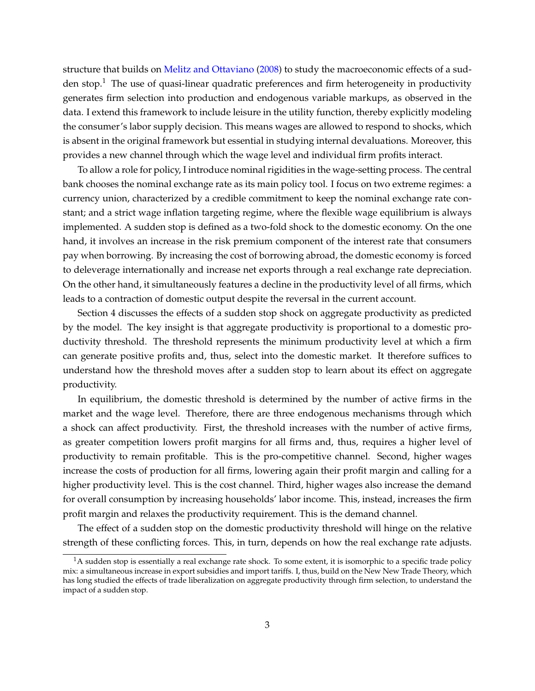structure that builds on Melitz and Ottaviano (2008) to study the macroeconomic effects of a sudden stop.<sup>1</sup> The use of quasi-linear quadratic preferences and firm heterogeneity in productivity generates firm selection into production and endogenous variable markups, as observed in the data. I extend this framework to include leisure in the utility function, thereby explicitly modeling the consumer's labor supply decision. This means wages are allowed to respond to shocks, which is absent in the original framework but essential in studying internal devaluations. Moreover, this provides a new channel through which the wage level and individual firm profits interact.

To allow a role for policy, I introduce nominal rigidities in the wage-setting process. The central bank chooses the nominal exchange rate as its main policy tool. I focus on two extreme regimes: a currency union, characterized by a credible commitment to keep the nominal exchange rate constant; and a strict wage inflation targeting regime, where the flexible wage equilibrium is always implemented. A sudden stop is defined as a two-fold shock to the domestic economy. On the one hand, it involves an increase in the risk premium component of the interest rate that consumers pay when borrowing. By increasing the cost of borrowing abroad, the domestic economy is forced to deleverage internationally and increase net exports through a real exchange rate depreciation. On the other hand, it simultaneously features a decline in the productivity level of all firms, which leads to a contraction of domestic output despite the reversal in the current account.

Section 4 discusses the effects of a sudden stop shock on aggregate productivity as predicted by the model. The key insight is that aggregate productivity is proportional to a domestic productivity threshold. The threshold represents the minimum productivity level at which a firm can generate positive profits and, thus, select into the domestic market. It therefore suffices to understand how the threshold moves after a sudden stop to learn about its effect on aggregate productivity.

In equilibrium, the domestic threshold is determined by the number of active firms in the market and the wage level. Therefore, there are three endogenous mechanisms through which a shock can affect productivity. First, the threshold increases with the number of active firms, as greater competition lowers profit margins for all firms and, thus, requires a higher level of productivity to remain profitable. This is the pro-competitive channel. Second, higher wages increase the costs of production for all firms, lowering again their profit margin and calling for a higher productivity level. This is the cost channel. Third, higher wages also increase the demand for overall consumption by increasing households' labor income. This, instead, increases the firm profit margin and relaxes the productivity requirement. This is the demand channel.

The effect of a sudden stop on the domestic productivity threshold will hinge on the relative strength of these conflicting forces. This, in turn, depends on how the real exchange rate adjusts.

 $1A$  sudden stop is essentially a real exchange rate shock. To some extent, it is isomorphic to a specific trade policy mix: a simultaneous increase in export subsidies and import tariffs. I, thus, build on the New New Trade Theory, which has long studied the effects of trade liberalization on aggregate productivity through firm selection, to understand the impact of a sudden stop.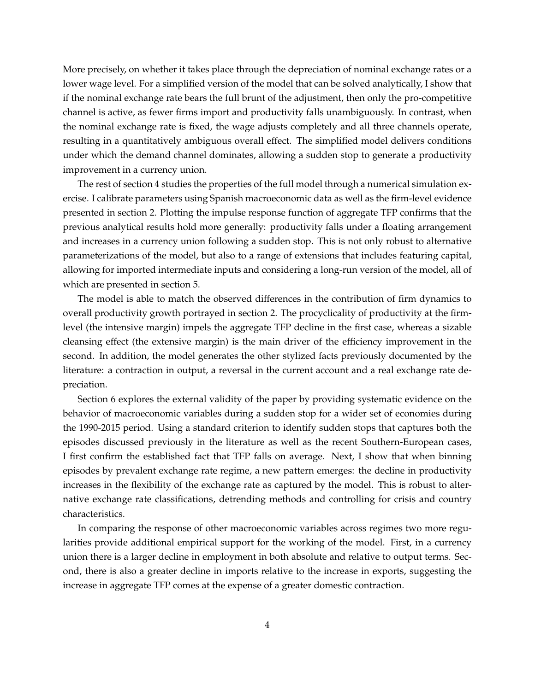More precisely, on whether it takes place through the depreciation of nominal exchange rates or a lower wage level. For a simplified version of the model that can be solved analytically, I show that if the nominal exchange rate bears the full brunt of the adjustment, then only the pro-competitive channel is active, as fewer firms import and productivity falls unambiguously. In contrast, when the nominal exchange rate is fixed, the wage adjusts completely and all three channels operate, resulting in a quantitatively ambiguous overall effect. The simplified model delivers conditions under which the demand channel dominates, allowing a sudden stop to generate a productivity improvement in a currency union.

The rest of section 4 studies the properties of the full model through a numerical simulation exercise. I calibrate parameters using Spanish macroeconomic data as well as the firm-level evidence presented in section 2. Plotting the impulse response function of aggregate TFP confirms that the previous analytical results hold more generally: productivity falls under a floating arrangement and increases in a currency union following a sudden stop. This is not only robust to alternative parameterizations of the model, but also to a range of extensions that includes featuring capital, allowing for imported intermediate inputs and considering a long-run version of the model, all of which are presented in section 5.

The model is able to match the observed differences in the contribution of firm dynamics to overall productivity growth portrayed in section 2. The procyclicality of productivity at the firmlevel (the intensive margin) impels the aggregate TFP decline in the first case, whereas a sizable cleansing effect (the extensive margin) is the main driver of the efficiency improvement in the second. In addition, the model generates the other stylized facts previously documented by the literature: a contraction in output, a reversal in the current account and a real exchange rate depreciation.

Section 6 explores the external validity of the paper by providing systematic evidence on the behavior of macroeconomic variables during a sudden stop for a wider set of economies during the 1990-2015 period. Using a standard criterion to identify sudden stops that captures both the episodes discussed previously in the literature as well as the recent Southern-European cases, I first confirm the established fact that TFP falls on average. Next, I show that when binning episodes by prevalent exchange rate regime, a new pattern emerges: the decline in productivity increases in the flexibility of the exchange rate as captured by the model. This is robust to alternative exchange rate classifications, detrending methods and controlling for crisis and country characteristics.

In comparing the response of other macroeconomic variables across regimes two more regularities provide additional empirical support for the working of the model. First, in a currency union there is a larger decline in employment in both absolute and relative to output terms. Second, there is also a greater decline in imports relative to the increase in exports, suggesting the increase in aggregate TFP comes at the expense of a greater domestic contraction.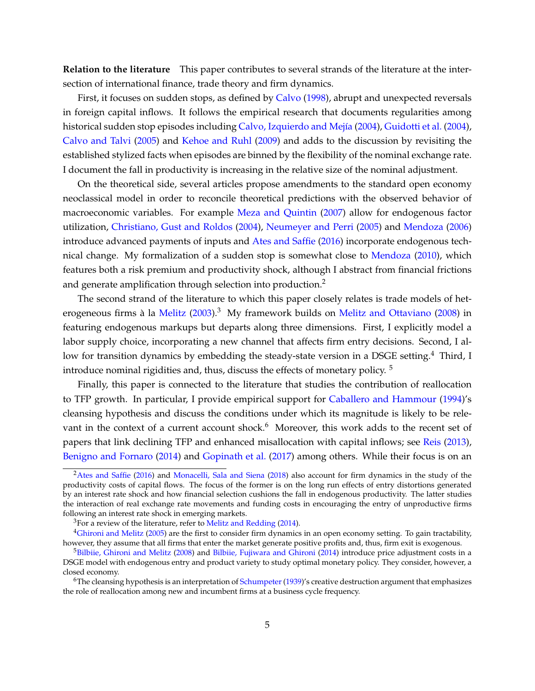**Relation to the literature** This paper contributes to several strands of the literature at the intersection of international finance, trade theory and firm dynamics.

First, it focuses on sudden stops, as defined by Calvo (1998), abrupt and unexpected reversals in foreign capital inflows. It follows the empirical research that documents regularities among historical sudden stop episodes including Calvo, Izquierdo and Mejía (2004), Guidotti et al. (2004), Calvo and Talvi (2005) and Kehoe and Ruhl (2009) and adds to the discussion by revisiting the established stylized facts when episodes are binned by the flexibility of the nominal exchange rate. I document the fall in productivity is increasing in the relative size of the nominal adjustment.

On the theoretical side, several articles propose amendments to the standard open economy neoclassical model in order to reconcile theoretical predictions with the observed behavior of macroeconomic variables. For example Meza and Quintin (2007) allow for endogenous factor utilization, Christiano, Gust and Roldos (2004), Neumeyer and Perri (2005) and Mendoza (2006) introduce advanced payments of inputs and Ates and Saffie (2016) incorporate endogenous technical change. My formalization of a sudden stop is somewhat close to Mendoza (2010), which features both a risk premium and productivity shock, although I abstract from financial frictions and generate amplification through selection into production.<sup>2</sup>

The second strand of the literature to which this paper closely relates is trade models of heterogeneous firms à la Melitz (2003).<sup>3</sup> My framework builds on Melitz and Ottaviano (2008) in featuring endogenous markups but departs along three dimensions. First, I explicitly model a labor supply choice, incorporating a new channel that affects firm entry decisions. Second, I allow for transition dynamics by embedding the steady-state version in a DSGE setting.<sup>4</sup> Third, I introduce nominal rigidities and, thus, discuss the effects of monetary policy.<sup>5</sup>

Finally, this paper is connected to the literature that studies the contribution of reallocation to TFP growth. In particular, I provide empirical support for Caballero and Hammour (1994)'s cleansing hypothesis and discuss the conditions under which its magnitude is likely to be relevant in the context of a current account shock.<sup>6</sup> Moreover, this work adds to the recent set of papers that link declining TFP and enhanced misallocation with capital inflows; see Reis (2013), Benigno and Fornaro (2014) and Gopinath et al. (2017) among others. While their focus is on an

<sup>&</sup>lt;sup>2</sup>Ates and Saffie (2016) and Monacelli, Sala and Siena (2018) also account for firm dynamics in the study of the productivity costs of capital flows. The focus of the former is on the long run effects of entry distortions generated by an interest rate shock and how financial selection cushions the fall in endogenous productivity. The latter studies the interaction of real exchange rate movements and funding costs in encouraging the entry of unproductive firms following an interest rate shock in emerging markets.

<sup>&</sup>lt;sup>3</sup>For a review of the literature, refer to Melitz and Redding (2014).

<sup>4</sup>Ghironi and Melitz (2005) are the first to consider firm dynamics in an open economy setting. To gain tractability, however, they assume that all firms that enter the market generate positive profits and, thus, firm exit is exogenous.

 $5Bilbiie$ , Ghironi and Melitz (2008) and Bilbiie, Fujiwara and Ghironi (2014) introduce price adjustment costs in a DSGE model with endogenous entry and product variety to study optimal monetary policy. They consider, however, a closed economy.

 $6$ The cleansing hypothesis is an interpretation of Schumpeter (1939)'s creative destruction argument that emphasizes the role of reallocation among new and incumbent firms at a business cycle frequency.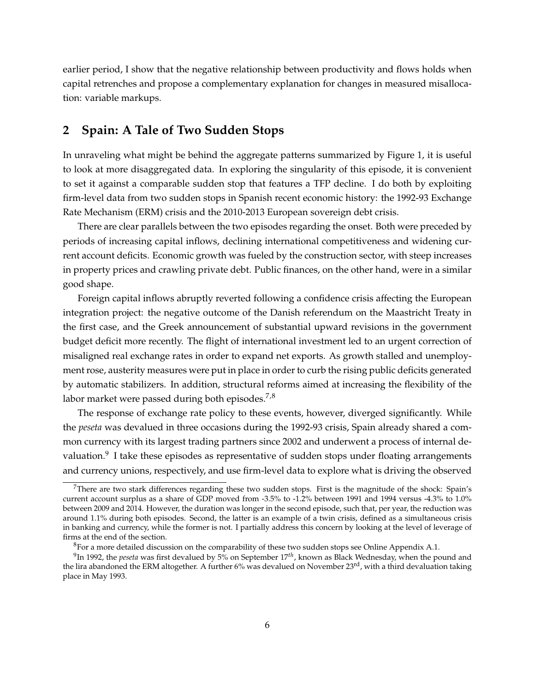earlier period, I show that the negative relationship between productivity and flows holds when capital retrenches and propose a complementary explanation for changes in measured misallocation: variable markups.

# **2 Spain: A Tale of Two Sudden Stops**

In unraveling what might be behind the aggregate patterns summarized by Figure 1, it is useful to look at more disaggregated data. In exploring the singularity of this episode, it is convenient to set it against a comparable sudden stop that features a TFP decline. I do both by exploiting firm-level data from two sudden stops in Spanish recent economic history: the 1992-93 Exchange Rate Mechanism (ERM) crisis and the 2010-2013 European sovereign debt crisis.

There are clear parallels between the two episodes regarding the onset. Both were preceded by periods of increasing capital inflows, declining international competitiveness and widening current account deficits. Economic growth was fueled by the construction sector, with steep increases in property prices and crawling private debt. Public finances, on the other hand, were in a similar good shape.

Foreign capital inflows abruptly reverted following a confidence crisis affecting the European integration project: the negative outcome of the Danish referendum on the Maastricht Treaty in the first case, and the Greek announcement of substantial upward revisions in the government budget deficit more recently. The flight of international investment led to an urgent correction of misaligned real exchange rates in order to expand net exports. As growth stalled and unemployment rose, austerity measures were put in place in order to curb the rising public deficits generated by automatic stabilizers. In addition, structural reforms aimed at increasing the flexibility of the labor market were passed during both episodes.<sup>7,8</sup>

The response of exchange rate policy to these events, however, diverged significantly. While the *peseta* was devalued in three occasions during the 1992-93 crisis, Spain already shared a common currency with its largest trading partners since 2002 and underwent a process of internal devaluation. $9$  I take these episodes as representative of sudden stops under floating arrangements and currency unions, respectively, and use firm-level data to explore what is driving the observed

<sup>&</sup>lt;sup>7</sup>There are two stark differences regarding these two sudden stops. First is the magnitude of the shock: Spain's current account surplus as a share of GDP moved from -3.5% to -1.2% between 1991 and 1994 versus -4.3% to 1.0% between 2009 and 2014. However, the duration was longer in the second episode, such that, per year, the reduction was around 1.1% during both episodes. Second, the latter is an example of a twin crisis, defined as a simultaneous crisis in banking and currency, while the former is not. I partially address this concern by looking at the level of leverage of firms at the end of the section.

<sup>&</sup>lt;sup>8</sup>For a more detailed discussion on the comparability of these two sudden stops see Online Appendix A.1.

<sup>9</sup>In 1992, the *peseta* was first devalued by 5% on September 17*th*, known as Black Wednesday, when the pound and the lira abandoned the ERM altogether. A further 6% was devalued on November 23<sup>rd</sup>, with a third devaluation taking place in May 1993.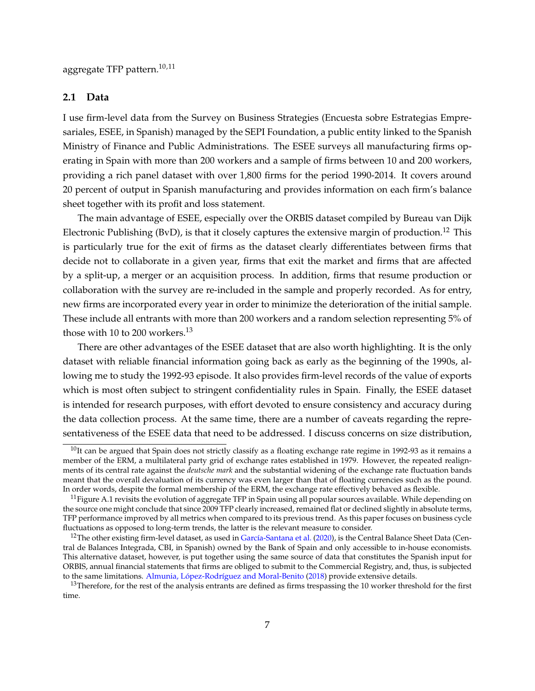aggregate TFP pattern.<sup>10,11</sup>

# **2.1 Data**

I use firm-level data from the Survey on Business Strategies (Encuesta sobre Estrategias Empresariales, ESEE, in Spanish) managed by the SEPI Foundation, a public entity linked to the Spanish Ministry of Finance and Public Administrations. The ESEE surveys all manufacturing firms operating in Spain with more than 200 workers and a sample of firms between 10 and 200 workers, providing a rich panel dataset with over 1,800 firms for the period 1990-2014. It covers around 20 percent of output in Spanish manufacturing and provides information on each firm's balance sheet together with its profit and loss statement.

The main advantage of ESEE, especially over the ORBIS dataset compiled by Bureau van Dijk Electronic Publishing (BvD), is that it closely captures the extensive margin of production.<sup>12</sup> This is particularly true for the exit of firms as the dataset clearly differentiates between firms that decide not to collaborate in a given year, firms that exit the market and firms that are affected by a split-up, a merger or an acquisition process. In addition, firms that resume production or collaboration with the survey are re-included in the sample and properly recorded. As for entry, new firms are incorporated every year in order to minimize the deterioration of the initial sample. These include all entrants with more than 200 workers and a random selection representing 5% of those with 10 to 200 workers.<sup>13</sup>

There are other advantages of the ESEE dataset that are also worth highlighting. It is the only dataset with reliable financial information going back as early as the beginning of the 1990s, allowing me to study the 1992-93 episode. It also provides firm-level records of the value of exports which is most often subject to stringent confidentiality rules in Spain. Finally, the ESEE dataset is intended for research purposes, with effort devoted to ensure consistency and accuracy during the data collection process. At the same time, there are a number of caveats regarding the representativeness of the ESEE data that need to be addressed. I discuss concerns on size distribution,

 $10$ It can be argued that Spain does not strictly classify as a floating exchange rate regime in 1992-93 as it remains a member of the ERM, a multilateral party grid of exchange rates established in 1979. However, the repeated realignments of its central rate against the *deutsche mark* and the substantial widening of the exchange rate fluctuation bands meant that the overall devaluation of its currency was even larger than that of floating currencies such as the pound. In order words, despite the formal membership of the ERM, the exchange rate effectively behaved as flexible.

 $11$  Figure A.1 revisits the evolution of aggregate TFP in Spain using all popular sources available. While depending on the source one might conclude that since 2009 TFP clearly increased, remained flat or declined slightly in absolute terms, TFP performance improved by all metrics when compared to its previous trend. As this paper focuses on business cycle fluctuations as opposed to long-term trends, the latter is the relevant measure to consider.

<sup>&</sup>lt;sup>12</sup>The other existing firm-level dataset, as used in García-Santana et al. (2020), is the Central Balance Sheet Data (Central de Balances Integrada, CBI, in Spanish) owned by the Bank of Spain and only accessible to in-house economists. This alternative dataset, however, is put together using the same source of data that constitutes the Spanish input for ORBIS, annual financial statements that firms are obliged to submit to the Commercial Registry, and, thus, is subjected to the same limitations. Almunia, López-Rodríguez and Moral-Benito (2018) provide extensive details.

<sup>&</sup>lt;sup>13</sup>Therefore, for the rest of the analysis entrants are defined as firms trespassing the 10 worker threshold for the first time.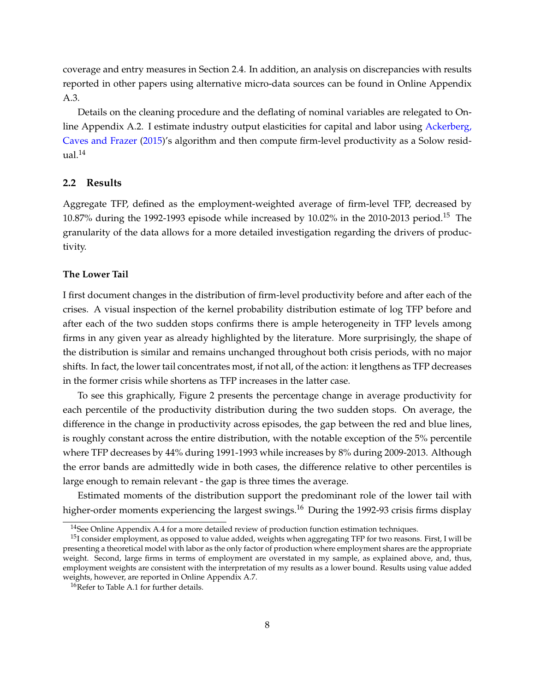coverage and entry measures in Section 2.4. In addition, an analysis on discrepancies with results reported in other papers using alternative micro-data sources can be found in Online Appendix A.3.

Details on the cleaning procedure and the deflating of nominal variables are relegated to Online Appendix A.2. I estimate industry output elasticities for capital and labor using Ackerberg, Caves and Frazer (2015)'s algorithm and then compute firm-level productivity as a Solow resid $ual.<sup>14</sup>$ 

# **2.2 Results**

Aggregate TFP, defined as the employment-weighted average of firm-level TFP, decreased by 10.87% during the 1992-1993 episode while increased by 10.02% in the 2010-2013 period.<sup>15</sup> The granularity of the data allows for a more detailed investigation regarding the drivers of productivity.

#### **The Lower Tail**

I first document changes in the distribution of firm-level productivity before and after each of the crises. A visual inspection of the kernel probability distribution estimate of log TFP before and after each of the two sudden stops confirms there is ample heterogeneity in TFP levels among firms in any given year as already highlighted by the literature. More surprisingly, the shape of the distribution is similar and remains unchanged throughout both crisis periods, with no major shifts. In fact, the lower tail concentrates most, if not all, of the action: it lengthens as TFP decreases in the former crisis while shortens as TFP increases in the latter case.

To see this graphically, Figure 2 presents the percentage change in average productivity for each percentile of the productivity distribution during the two sudden stops. On average, the difference in the change in productivity across episodes, the gap between the red and blue lines, is roughly constant across the entire distribution, with the notable exception of the 5% percentile where TFP decreases by 44% during 1991-1993 while increases by 8% during 2009-2013. Although the error bands are admittedly wide in both cases, the difference relative to other percentiles is large enough to remain relevant - the gap is three times the average.

Estimated moments of the distribution support the predominant role of the lower tail with higher-order moments experiencing the largest swings.<sup>16</sup> During the 1992-93 crisis firms display

 $14$ See Online Appendix A.4 for a more detailed review of production function estimation techniques.

<sup>&</sup>lt;sup>15</sup>I consider employment, as opposed to value added, weights when aggregating TFP for two reasons. First, I will be presenting a theoretical model with labor as the only factor of production where employment shares are the appropriate weight. Second, large firms in terms of employment are overstated in my sample, as explained above, and, thus, employment weights are consistent with the interpretation of my results as a lower bound. Results using value added weights, however, are reported in Online Appendix A.7.

<sup>&</sup>lt;sup>16</sup>Refer to Table A.1 for further details.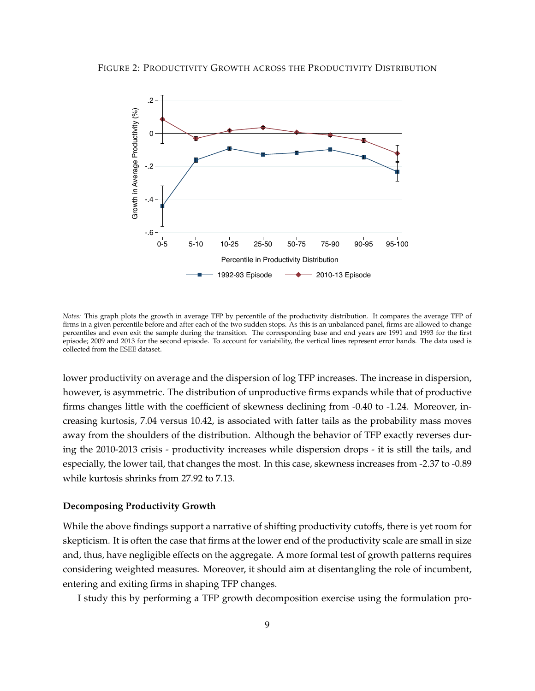

*Notes:* This graph plots the growth in average TFP by percentile of the productivity distribution. It compares the average TFP of firms in a given percentile before and after each of the two sudden stops. As this is an unbalanced panel, firms are allowed to change percentiles and even exit the sample during the transition. The corresponding base and end years are 1991 and 1993 for the first episode; 2009 and 2013 for the second episode. To account for variability, the vertical lines represent error bands. The data used is collected from the ESEE dataset.

lower productivity on average and the dispersion of log TFP increases. The increase in dispersion, however, is asymmetric. The distribution of unproductive firms expands while that of productive firms changes little with the coefficient of skewness declining from -0.40 to -1.24. Moreover, increasing kurtosis, 7.04 versus 10.42, is associated with fatter tails as the probability mass moves away from the shoulders of the distribution. Although the behavior of TFP exactly reverses during the 2010-2013 crisis - productivity increases while dispersion drops - it is still the tails, and especially, the lower tail, that changes the most. In this case, skewness increases from -2.37 to -0.89 while kurtosis shrinks from 27.92 to 7.13.

#### **Decomposing Productivity Growth**

While the above findings support a narrative of shifting productivity cutoffs, there is yet room for skepticism. It is often the case that firms at the lower end of the productivity scale are small in size and, thus, have negligible effects on the aggregate. A more formal test of growth patterns requires considering weighted measures. Moreover, it should aim at disentangling the role of incumbent, entering and exiting firms in shaping TFP changes.

I study this by performing a TFP growth decomposition exercise using the formulation pro-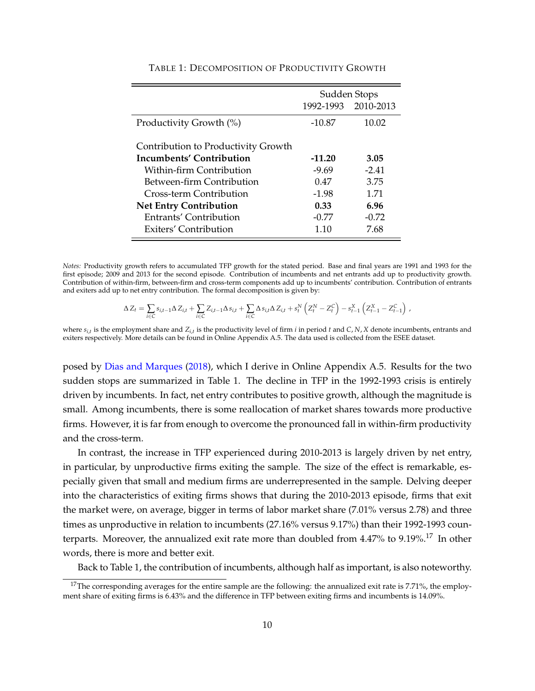|                                                                                                                                                     | Sudden Stops<br>1992-1993 2010-2013    |                                 |  |
|-----------------------------------------------------------------------------------------------------------------------------------------------------|----------------------------------------|---------------------------------|--|
| Productivity Growth (%)                                                                                                                             | $-10.87$                               | 10.02                           |  |
| Contribution to Productivity Growth<br>Incumbents' Contribution<br>Within-firm Contribution<br>Between-firm Contribution<br>Cross-term Contribution | $-11.20$<br>$-9.69$<br>0.47<br>$-1.98$ | 3.05<br>$-2.41$<br>3.75<br>1.71 |  |
| <b>Net Entry Contribution</b><br>Entrants' Contribution<br>Exiters' Contribution                                                                    | 0.33<br>$-0.77$<br>1.10                | 6.96<br>$-0.72$<br>7.68         |  |

#### TABLE 1: DECOMPOSITION OF PRODUCTIVITY GROWTH

*Notes:* Productivity growth refers to accumulated TFP growth for the stated period. Base and final years are 1991 and 1993 for the first episode; 2009 and 2013 for the second episode. Contribution of incumbents and net entrants add up to productivity growth. Contribution of within-firm, between-firm and cross-term components add up to incumbents' contribution. Contribution of entrants and exiters add up to net entry contribution. The formal decomposition is given by:

$$
\Delta Z_t = \sum_{i \in C} s_{i,t-1} \Delta Z_{i,t} + \sum_{i \in C} Z_{i,t-1} \Delta s_{i,t} + \sum_{i \in C} \Delta s_{i,t} \Delta Z_{i,t} + s_t^N \left( Z_t^N - Z_t^C \right) - s_{t-1}^X \left( Z_{t-1}^X - Z_{t-1}^C \right) ,
$$

where  $s_{i,t}$  is the employment share and  $Z_{i,t}$  is the productivity level of firm *i* in period *t* and *C*, *N*, *X* denote incumbents, entrants and exiters respectively. More details can be found in Online Appendix A.5. The data used is collected from the ESEE dataset.

posed by Dias and Marques (2018), which I derive in Online Appendix A.5. Results for the two sudden stops are summarized in Table 1. The decline in TFP in the 1992-1993 crisis is entirely driven by incumbents. In fact, net entry contributes to positive growth, although the magnitude is small. Among incumbents, there is some reallocation of market shares towards more productive firms. However, it is far from enough to overcome the pronounced fall in within-firm productivity and the cross-term.

In contrast, the increase in TFP experienced during 2010-2013 is largely driven by net entry, in particular, by unproductive firms exiting the sample. The size of the effect is remarkable, especially given that small and medium firms are underrepresented in the sample. Delving deeper into the characteristics of exiting firms shows that during the 2010-2013 episode, firms that exit the market were, on average, bigger in terms of labor market share (7.01% versus 2.78) and three times as unproductive in relation to incumbents (27.16% versus 9.17%) than their 1992-1993 counterparts. Moreover, the annualized exit rate more than doubled from 4.47% to 9.19%.<sup>17</sup> In other words, there is more and better exit.

Back to Table 1, the contribution of incumbents, although half as important, is also noteworthy.

<sup>&</sup>lt;sup>17</sup>The corresponding averages for the entire sample are the following: the annualized exit rate is 7.71%, the employment share of exiting firms is 6.43% and the difference in TFP between exiting firms and incumbents is 14.09%.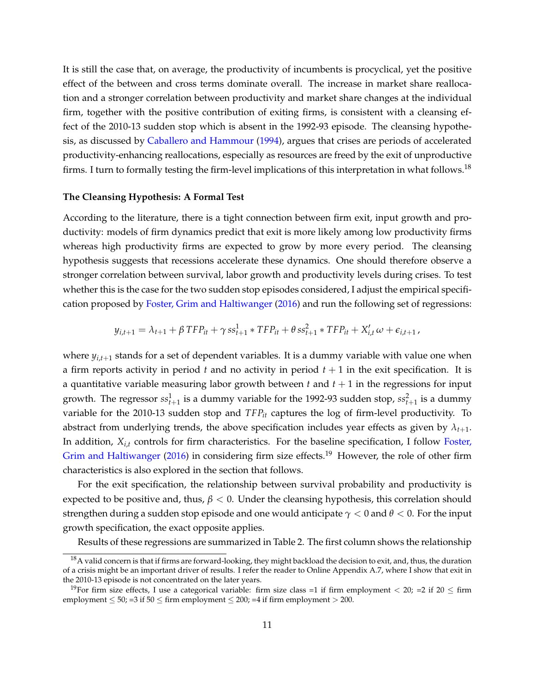It is still the case that, on average, the productivity of incumbents is procyclical, yet the positive effect of the between and cross terms dominate overall. The increase in market share reallocation and a stronger correlation between productivity and market share changes at the individual firm, together with the positive contribution of exiting firms, is consistent with a cleansing effect of the 2010-13 sudden stop which is absent in the 1992-93 episode. The cleansing hypothesis, as discussed by Caballero and Hammour (1994), argues that crises are periods of accelerated productivity-enhancing reallocations, especially as resources are freed by the exit of unproductive firms. I turn to formally testing the firm-level implications of this interpretation in what follows.<sup>18</sup>

#### **The Cleansing Hypothesis: A Formal Test**

According to the literature, there is a tight connection between firm exit, input growth and productivity: models of firm dynamics predict that exit is more likely among low productivity firms whereas high productivity firms are expected to grow by more every period. The cleansing hypothesis suggests that recessions accelerate these dynamics. One should therefore observe a stronger correlation between survival, labor growth and productivity levels during crises. To test whether this is the case for the two sudden stop episodes considered, I adjust the empirical specification proposed by Foster, Grim and Haltiwanger (2016) and run the following set of regressions:

$$
y_{i,t+1} = \lambda_{t+1} + \beta TFP_{it} + \gamma ss_{t+1}^1 * TFP_{it} + \theta ss_{t+1}^2 * TFP_{it} + X_{i,t}' \omega + \epsilon_{i,t+1},
$$

where  $y_{i,t+1}$  stands for a set of dependent variables. It is a dummy variable with value one when a firm reports activity in period  $t$  and no activity in period  $t + 1$  in the exit specification. It is a quantitative variable measuring labor growth between  $t$  and  $t + 1$  in the regressions for input growth. The regressor  $ss_{t+1}^1$  is a dummy variable for the 1992-93 sudden stop,  $ss_{t+1}^2$  is a dummy variable for the 2010-13 sudden stop and *TFPit* captures the log of firm-level productivity. To abstract from underlying trends, the above specification includes year effects as given by  $\lambda_{t+1}$ . In addition, *Xi*,*<sup>t</sup>* controls for firm characteristics. For the baseline specification, I follow Foster, Grim and Haltiwanger (2016) in considering firm size effects.<sup>19</sup> However, the role of other firm characteristics is also explored in the section that follows.

For the exit specification, the relationship between survival probability and productivity is expected to be positive and, thus,  $\beta$  < 0. Under the cleansing hypothesis, this correlation should strengthen during a sudden stop episode and one would anticipate  $\gamma$  < 0 and  $\theta$  < 0. For the input growth specification, the exact opposite applies.

Results of these regressions are summarized in Table 2. The first column shows the relationship

<sup>&</sup>lt;sup>18</sup>A valid concern is that if firms are forward-looking, they might backload the decision to exit, and, thus, the duration of a crisis might be an important driver of results. I refer the reader to Online Appendix A.7, where I show that exit in the 2010-13 episode is not concentrated on the later years.

<sup>&</sup>lt;sup>19</sup>For firm size effects, I use a categorical variable: firm size class =1 if firm employment  $<$  20; =2 if 20  $\leq$  firm employment  $\leq$  50; =3 if 50  $\leq$  firm employment  $\leq$  200; =4 if firm employment  $>$  200.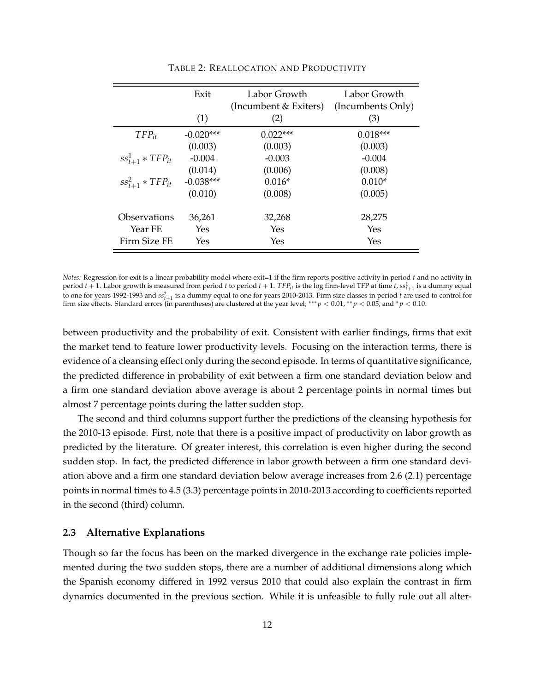| Exit                    |             | Labor Growth<br>(Incumbent & Exiters) | Labor Growth<br>(Incumbents Only) |  |
|-------------------------|-------------|---------------------------------------|-----------------------------------|--|
|                         | (1)         | (2)                                   | (3)                               |  |
| $TFP_{it}$              | $-0.020***$ | $0.022***$                            | $0.018***$                        |  |
|                         | (0.003)     | (0.003)                               | (0.003)                           |  |
| $ss_{t+1}^1 * TFP_{it}$ | $-0.004$    | $-0.003$                              | $-0.004$                          |  |
|                         | (0.014)     | (0.006)                               | (0.008)                           |  |
| $ss_{t+1}^2 * TFP_{it}$ | $-0.038***$ | $0.016*$                              | $0.010*$                          |  |
|                         | (0.010)     | (0.008)                               | (0.005)                           |  |
| Observations            | 36,261      | 32,268                                | 28,275                            |  |
| Year FE                 | Yes         | Yes                                   | Yes                               |  |
| Firm Size FE            | Yes         | Yes                                   | Yes                               |  |

TABLE 2: REALLOCATION AND PRODUCTIVITY

*Notes:* Regression for exit is a linear probability model where exit=1 if the firm reports positive activity in period *t* and no activity in period  $t+1$ . Labor growth is measured from period  $t$  to period  $t+1$ .  $TFP_{it}$  is the log firm-level TFP at time  $t$ ,  $ss^1_{t+1}$  is a dummy equal to one for years 1992-1993 and  $ss_{t+1}^2$  is a dummy equal to one for years 2010-2013. Firm size classes in period *t* are used to control for firm size effects. Standard errors (in parentheses) are clustered at the year level; \*\*\*  $p < 0.01$ , \*\*  $p < 0.05$ , and \*  $p < 0.10$ .

between productivity and the probability of exit. Consistent with earlier findings, firms that exit the market tend to feature lower productivity levels. Focusing on the interaction terms, there is evidence of a cleansing effect only during the second episode. In terms of quantitative significance, the predicted difference in probability of exit between a firm one standard deviation below and a firm one standard deviation above average is about 2 percentage points in normal times but almost 7 percentage points during the latter sudden stop.

The second and third columns support further the predictions of the cleansing hypothesis for the 2010-13 episode. First, note that there is a positive impact of productivity on labor growth as predicted by the literature. Of greater interest, this correlation is even higher during the second sudden stop. In fact, the predicted difference in labor growth between a firm one standard deviation above and a firm one standard deviation below average increases from 2.6 (2.1) percentage points in normal times to 4.5 (3.3) percentage points in 2010-2013 according to coefficients reported in the second (third) column.

# **2.3 Alternative Explanations**

Though so far the focus has been on the marked divergence in the exchange rate policies implemented during the two sudden stops, there are a number of additional dimensions along which the Spanish economy differed in 1992 versus 2010 that could also explain the contrast in firm dynamics documented in the previous section. While it is unfeasible to fully rule out all alter-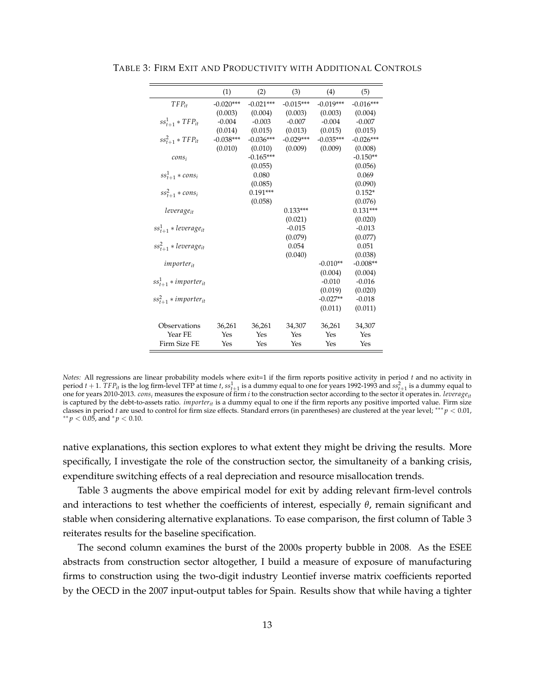|                              | (1)         | (2)         | (3)         | (4)         | (5)         |
|------------------------------|-------------|-------------|-------------|-------------|-------------|
| $TFP_{it}$                   | $-0.020***$ | $-0.021***$ | $-0.015***$ | $-0.019***$ | $-0.016***$ |
|                              | (0.003)     | (0.004)     | (0.003)     | (0.003)     | (0.004)     |
| $ss_{t+1}^1 * TFP_{it}$      | $-0.004$    | $-0.003$    | $-0.007$    | $-0.004$    | $-0.007$    |
|                              | (0.014)     | (0.015)     | (0.013)     | (0.015)     | (0.015)     |
| $ss_{t+1}^2 * TFP_{it}$      | $-0.038***$ | $-0.036***$ | $-0.029***$ | $-0.035***$ | $-0.026***$ |
|                              | (0.010)     | (0.010)     | (0.009)     | (0.009)     | (0.008)     |
| $cons_i$                     |             | $-0.165***$ |             |             | $-0.150**$  |
|                              |             | (0.055)     |             |             | (0.056)     |
| $ss_{t+1}^1 * cons_i$        |             | 0.080       |             |             | 0.069       |
|                              |             | (0.085)     |             |             | (0.090)     |
| $ss_{t+1}^2 * cons_i$        |             | $0.191***$  |             |             | $0.152*$    |
|                              |             | (0.058)     |             |             | (0.076)     |
| leverage <sub>it</sub>       |             |             | $0.133***$  |             | $0.131***$  |
|                              |             |             | (0.021)     |             | (0.020)     |
| $ss_{t+1}^1 * leverage_{it}$ |             |             | $-0.015$    |             | $-0.013$    |
|                              |             |             | (0.079)     |             | (0.077)     |
| $ss_{t+1}^2 * leverage_{it}$ |             |             | 0.054       |             | 0.051       |
|                              |             |             | (0.040)     |             | (0.038)     |
| <i>importer<sub>it</sub></i> |             |             |             | $-0.010**$  | $-0.008**$  |
|                              |             |             |             | (0.004)     | (0.004)     |
| $ss_{t+1}^1 * importer_{it}$ |             |             |             | $-0.010$    | $-0.016$    |
|                              |             |             |             | (0.019)     | (0.020)     |
| $ss_{t+1}^2 * importer_{it}$ |             |             |             | $-0.027**$  | $-0.018$    |
|                              |             |             |             | (0.011)     | (0.011)     |
| Observations                 | 36,261      | 36,261      | 34,307      | 36,261      | 34,307      |
| Year FE                      | Yes         | Yes         | Yes         | Yes         | Yes         |
| Firm Size FE                 | Yes         | Yes         | Yes         | Yes         | Yes         |

TABLE 3: FIRM EXIT AND PRODUCTIVITY WITH ADDITIONAL CONTROLS

*Notes:* All regressions are linear probability models where exit=1 if the firm reports positive activity in period *t* and no activity in period  $t + 1$ .  $TFP_{it}$  is the log firm-level TFP at time  $t$ ,  $ss^1_{t+1}$  is a dummy equal to one for years 1992-1993 and  $ss^2_{t+1}$  is a dummy equal to one for years 2010-2013. *consi* measures the exposure of firm *i* to the construction sector according to the sector it operates in. *leverageit* is captured by the debt-to-assets ratio. *importer<sub>it</sub>* is a dummy equal to one if the firm reports any positive imported value. Firm size classes in period *t* are used to control for firm size effects. Standard errors (in parentheses) are clustered at the year level; \*\*\*  $p$  < 0.01,  $** p < 0.05$ , and  $* p < 0.10$ .

native explanations, this section explores to what extent they might be driving the results. More specifically, I investigate the role of the construction sector, the simultaneity of a banking crisis, expenditure switching effects of a real depreciation and resource misallocation trends.

Table 3 augments the above empirical model for exit by adding relevant firm-level controls and interactions to test whether the coefficients of interest, especially  $\theta$ , remain significant and stable when considering alternative explanations. To ease comparison, the first column of Table 3 reiterates results for the baseline specification.

The second column examines the burst of the 2000s property bubble in 2008. As the ESEE abstracts from construction sector altogether, I build a measure of exposure of manufacturing firms to construction using the two-digit industry Leontief inverse matrix coefficients reported by the OECD in the 2007 input-output tables for Spain. Results show that while having a tighter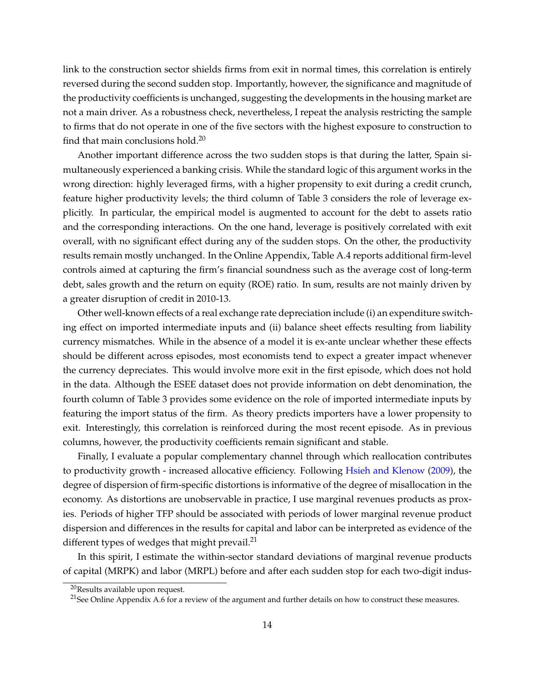link to the construction sector shields firms from exit in normal times, this correlation is entirely reversed during the second sudden stop. Importantly, however, the significance and magnitude of the productivity coefficients is unchanged, suggesting the developments in the housing market are not a main driver. As a robustness check, nevertheless, I repeat the analysis restricting the sample to firms that do not operate in one of the five sectors with the highest exposure to construction to find that main conclusions hold.20

Another important difference across the two sudden stops is that during the latter, Spain simultaneously experienced a banking crisis. While the standard logic of this argument works in the wrong direction: highly leveraged firms, with a higher propensity to exit during a credit crunch, feature higher productivity levels; the third column of Table 3 considers the role of leverage explicitly. In particular, the empirical model is augmented to account for the debt to assets ratio and the corresponding interactions. On the one hand, leverage is positively correlated with exit overall, with no significant effect during any of the sudden stops. On the other, the productivity results remain mostly unchanged. In the Online Appendix, Table A.4 reports additional firm-level controls aimed at capturing the firm's financial soundness such as the average cost of long-term debt, sales growth and the return on equity (ROE) ratio. In sum, results are not mainly driven by a greater disruption of credit in 2010-13.

Other well-known effects of a real exchange rate depreciation include (i) an expenditure switching effect on imported intermediate inputs and (ii) balance sheet effects resulting from liability currency mismatches. While in the absence of a model it is ex-ante unclear whether these effects should be different across episodes, most economists tend to expect a greater impact whenever the currency depreciates. This would involve more exit in the first episode, which does not hold in the data. Although the ESEE dataset does not provide information on debt denomination, the fourth column of Table 3 provides some evidence on the role of imported intermediate inputs by featuring the import status of the firm. As theory predicts importers have a lower propensity to exit. Interestingly, this correlation is reinforced during the most recent episode. As in previous columns, however, the productivity coefficients remain significant and stable.

Finally, I evaluate a popular complementary channel through which reallocation contributes to productivity growth - increased allocative efficiency. Following Hsieh and Klenow (2009), the degree of dispersion of firm-specific distortions is informative of the degree of misallocation in the economy. As distortions are unobservable in practice, I use marginal revenues products as proxies. Periods of higher TFP should be associated with periods of lower marginal revenue product dispersion and differences in the results for capital and labor can be interpreted as evidence of the different types of wedges that might prevail. $^{21}$ 

In this spirit, I estimate the within-sector standard deviations of marginal revenue products of capital (MRPK) and labor (MRPL) before and after each sudden stop for each two-digit indus-

<sup>&</sup>lt;sup>20</sup>Results available upon request.

<sup>&</sup>lt;sup>21</sup>See Online Appendix A.6 for a review of the argument and further details on how to construct these measures.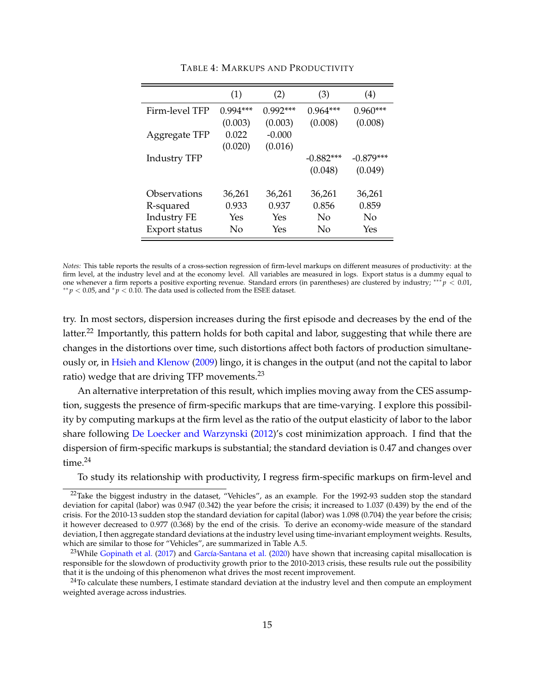|                     | (1)        | (2)        | (3)         | (4)         |
|---------------------|------------|------------|-------------|-------------|
| Firm-level TFP      | $0.994***$ | $0.992***$ | $0.964***$  | $0.960***$  |
|                     | (0.003)    | (0.003)    | (0.008)     | (0.008)     |
| Aggregate TFP       | 0.022      | $-0.000$   |             |             |
|                     | (0.020)    | (0.016)    |             |             |
| <b>Industry TFP</b> |            |            | $-0.882***$ | $-0.879***$ |
|                     |            |            | (0.048)     | (0.049)     |
|                     |            |            |             |             |
| Observations        | 36,261     | 36,261     | 36,261      | 36,261      |
| R-squared           | 0.933      | 0.937      | 0.856       | 0.859       |
| <b>Industry FE</b>  | Yes        | Yes        | No          | No          |
| Export status       | No         | Yes        | No          | Yes         |

TABLE 4: MARKUPS AND PRODUCTIVITY

*Notes:* This table reports the results of a cross-section regression of firm-level markups on different measures of productivity: at the firm level, at the industry level and at the economy level. All variables are measured in logs. Export status is a dummy equal to one whenever a firm reports a positive exporting revenue. Standard errors (in parentheses) are clustered by industry;  $*** p$  < 0.01, **<sup>∗</sup>** $p$  < 0.05, and  $p$  < 0.10. The data used is collected from the ESEE dataset.

try. In most sectors, dispersion increases during the first episode and decreases by the end of the latter.<sup>22</sup> Importantly, this pattern holds for both capital and labor, suggesting that while there are changes in the distortions over time, such distortions affect both factors of production simultaneously or, in Hsieh and Klenow (2009) lingo, it is changes in the output (and not the capital to labor ratio) wedge that are driving TFP movements.<sup>23</sup>

An alternative interpretation of this result, which implies moving away from the CES assumption, suggests the presence of firm-specific markups that are time-varying. I explore this possibility by computing markups at the firm level as the ratio of the output elasticity of labor to the labor share following De Loecker and Warzynski (2012)'s cost minimization approach. I find that the dispersion of firm-specific markups is substantial; the standard deviation is 0.47 and changes over time.<sup>24</sup>

To study its relationship with productivity, I regress firm-specific markups on firm-level and

 $22$ Take the biggest industry in the dataset, "Vehicles", as an example. For the 1992-93 sudden stop the standard deviation for capital (labor) was 0.947 (0.342) the year before the crisis; it increased to 1.037 (0.439) by the end of the crisis. For the 2010-13 sudden stop the standard deviation for capital (labor) was 1.098 (0.704) the year before the crisis; it however decreased to 0.977 (0.368) by the end of the crisis. To derive an economy-wide measure of the standard deviation, I then aggregate standard deviations at the industry level using time-invariant employment weights. Results, which are similar to those for "Vehicles", are summarized in Table A.5.

<sup>&</sup>lt;sup>23</sup>While Gopinath et al. (2017) and García-Santana et al. (2020) have shown that increasing capital misallocation is responsible for the slowdown of productivity growth prior to the 2010-2013 crisis, these results rule out the possibility that it is the undoing of this phenomenon what drives the most recent improvement.

 $^{24}$ To calculate these numbers, I estimate standard deviation at the industry level and then compute an employment weighted average across industries.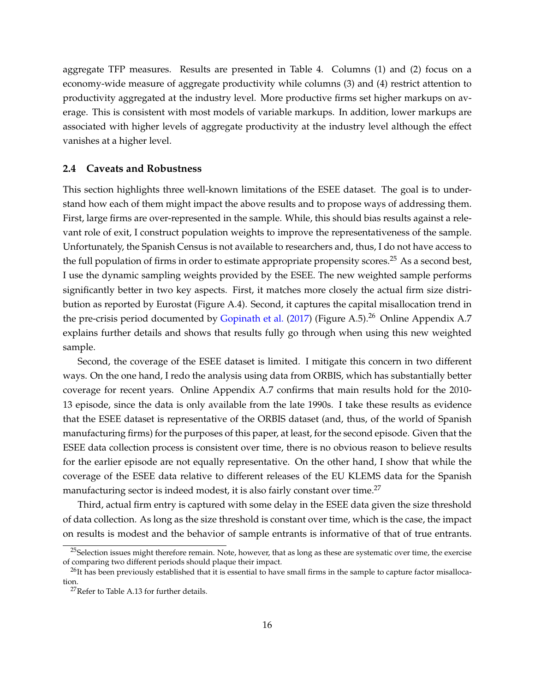aggregate TFP measures. Results are presented in Table 4. Columns (1) and (2) focus on a economy-wide measure of aggregate productivity while columns (3) and (4) restrict attention to productivity aggregated at the industry level. More productive firms set higher markups on average. This is consistent with most models of variable markups. In addition, lower markups are associated with higher levels of aggregate productivity at the industry level although the effect vanishes at a higher level.

#### **2.4 Caveats and Robustness**

This section highlights three well-known limitations of the ESEE dataset. The goal is to understand how each of them might impact the above results and to propose ways of addressing them. First, large firms are over-represented in the sample. While, this should bias results against a relevant role of exit, I construct population weights to improve the representativeness of the sample. Unfortunately, the Spanish Census is not available to researchers and, thus, I do not have access to the full population of firms in order to estimate appropriate propensity scores.<sup>25</sup> As a second best, I use the dynamic sampling weights provided by the ESEE. The new weighted sample performs significantly better in two key aspects. First, it matches more closely the actual firm size distribution as reported by Eurostat (Figure A.4). Second, it captures the capital misallocation trend in the pre-crisis period documented by Gopinath et al. (2017) (Figure A.5).<sup>26</sup> Online Appendix A.7 explains further details and shows that results fully go through when using this new weighted sample.

Second, the coverage of the ESEE dataset is limited. I mitigate this concern in two different ways. On the one hand, I redo the analysis using data from ORBIS, which has substantially better coverage for recent years. Online Appendix A.7 confirms that main results hold for the 2010- 13 episode, since the data is only available from the late 1990s. I take these results as evidence that the ESEE dataset is representative of the ORBIS dataset (and, thus, of the world of Spanish manufacturing firms) for the purposes of this paper, at least, for the second episode. Given that the ESEE data collection process is consistent over time, there is no obvious reason to believe results for the earlier episode are not equally representative. On the other hand, I show that while the coverage of the ESEE data relative to different releases of the EU KLEMS data for the Spanish manufacturing sector is indeed modest, it is also fairly constant over time.<sup>27</sup>

Third, actual firm entry is captured with some delay in the ESEE data given the size threshold of data collection. As long as the size threshold is constant over time, which is the case, the impact on results is modest and the behavior of sample entrants is informative of that of true entrants.

<sup>&</sup>lt;sup>25</sup>Selection issues might therefore remain. Note, however, that as long as these are systematic over time, the exercise of comparing two different periods should plaque their impact.

 $^{26}$ It has been previously established that it is essential to have small firms in the sample to capture factor misallocation.

<sup>&</sup>lt;sup>27</sup>Refer to Table A.13 for further details.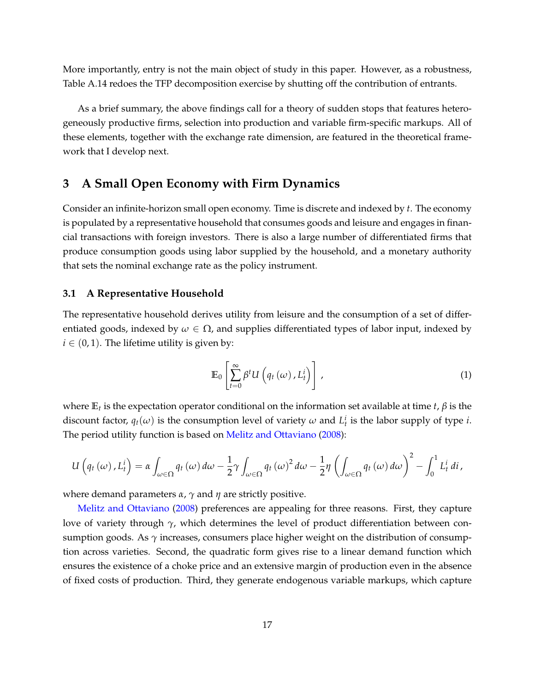More importantly, entry is not the main object of study in this paper. However, as a robustness, Table A.14 redoes the TFP decomposition exercise by shutting off the contribution of entrants.

As a brief summary, the above findings call for a theory of sudden stops that features heterogeneously productive firms, selection into production and variable firm-specific markups. All of these elements, together with the exchange rate dimension, are featured in the theoretical framework that I develop next.

# **3 A Small Open Economy with Firm Dynamics**

Consider an infinite-horizon small open economy. Time is discrete and indexed by *t*. The economy is populated by a representative household that consumes goods and leisure and engages in financial transactions with foreign investors. There is also a large number of differentiated firms that produce consumption goods using labor supplied by the household, and a monetary authority that sets the nominal exchange rate as the policy instrument.

### **3.1 A Representative Household**

The representative household derives utility from leisure and the consumption of a set of differentiated goods, indexed by  $\omega \in \Omega$ , and supplies differentiated types of labor input, indexed by  $i \in (0, 1)$ . The lifetime utility is given by:

$$
\mathbb{E}_0\left[\sum_{t=0}^{\infty}\beta^t U\left(q_t\left(\omega\right),L_t^i\right)\right],\tag{1}
$$

where  $\mathbb{E}_t$  is the expectation operator conditional on the information set available at time *t*,  $\beta$  is the discount factor,  $q_t(\omega)$  is the consumption level of variety  $\omega$  and  $L_t^i$  is the labor supply of type *i*. The period utility function is based on Melitz and Ottaviano (2008):

$$
U\left(q_t\left(\omega\right),L_t^i\right)=\alpha\int_{\omega\in\Omega}q_t\left(\omega\right)d\omega-\frac{1}{2}\gamma\int_{\omega\in\Omega}q_t\left(\omega\right)^2d\omega-\frac{1}{2}\eta\left(\int_{\omega\in\Omega}q_t\left(\omega\right)d\omega\right)^2-\int_0^1L_t^i\,di\,,
$$

where demand parameters  $\alpha$ ,  $\gamma$  and  $\eta$  are strictly positive.

Melitz and Ottaviano (2008) preferences are appealing for three reasons. First, they capture love of variety through  $\gamma$ , which determines the level of product differentiation between consumption goods. As  $\gamma$  increases, consumers place higher weight on the distribution of consumption across varieties. Second, the quadratic form gives rise to a linear demand function which ensures the existence of a choke price and an extensive margin of production even in the absence of fixed costs of production. Third, they generate endogenous variable markups, which capture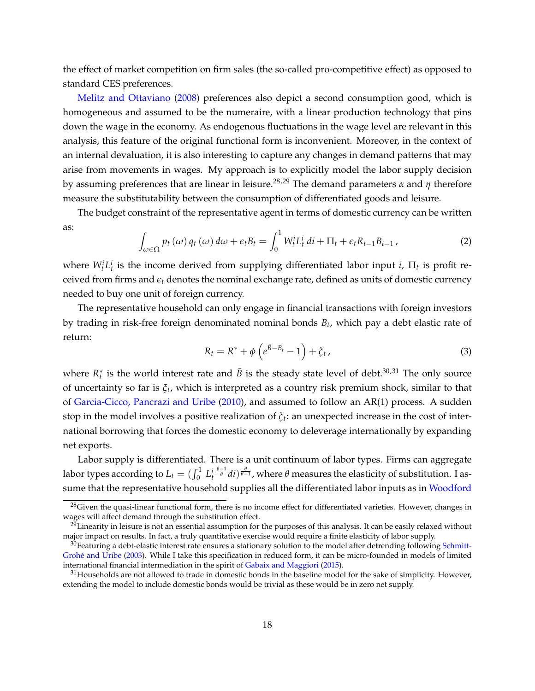the effect of market competition on firm sales (the so-called pro-competitive effect) as opposed to standard CES preferences.

Melitz and Ottaviano (2008) preferences also depict a second consumption good, which is homogeneous and assumed to be the numeraire, with a linear production technology that pins down the wage in the economy. As endogenous fluctuations in the wage level are relevant in this analysis, this feature of the original functional form is inconvenient. Moreover, in the context of an internal devaluation, it is also interesting to capture any changes in demand patterns that may arise from movements in wages. My approach is to explicitly model the labor supply decision by assuming preferences that are linear in leisure.<sup>28,29</sup> The demand parameters  $\alpha$  and  $\eta$  therefore measure the substitutability between the consumption of differentiated goods and leisure.

The budget constraint of the representative agent in terms of domestic currency can be written as:

$$
\int_{\omega \in \Omega} p_t(\omega) q_t(\omega) d\omega + \epsilon_t B_t = \int_0^1 W_t^i L_t^i \, dt + \Pi_t + \epsilon_t R_{t-1} B_{t-1} \,, \tag{2}
$$

where  $W_t^i L_t^i$  is the income derived from supplying differentiated labor input *i*,  $\Pi_t$  is profit received from firms and  $\epsilon_t$  denotes the nominal exchange rate, defined as units of domestic currency needed to buy one unit of foreign currency.

The representative household can only engage in financial transactions with foreign investors by trading in risk-free foreign denominated nominal bonds  $B_t$ , which pay a debt elastic rate of return:

$$
R_t = R^* + \phi \left( e^{\bar{B} - B_t} - 1 \right) + \xi_t, \qquad (3)
$$

where  $R_t^*$  is the world interest rate and  $\bar{B}$  is the steady state level of debt.<sup>30,31</sup> The only source of uncertainty so far is *xt*, which is interpreted as a country risk premium shock, similar to that of Garcia-Cicco, Pancrazi and Uribe (2010), and assumed to follow an AR(1) process. A sudden stop in the model involves a positive realization of  $\zeta_t$ : an unexpected increase in the cost of international borrowing that forces the domestic economy to deleverage internationally by expanding net exports.

Labor supply is differentiated. There is a unit continuum of labor types. Firms can aggregate labor types according to  $L_t = (\int_0^1 L_t^i)$  $\frac{\theta-1}{\theta}di)^{\frac{\theta}{\theta-1}}$ , where  $\theta$  measures the elasticity of substitution. I assume that the representative household supplies all the differentiated labor inputs as in Woodford

 $28$ Given the quasi-linear functional form, there is no income effect for differentiated varieties. However, changes in wages will affect demand through the substitution effect.

 $29$ Linearity in leisure is not an essential assumption for the purposes of this analysis. It can be easily relaxed without major impact on results. In fact, a truly quantitative exercise would require a finite elasticity of labor supply.

 $30$ Featuring a debt-elastic interest rate ensures a stationary solution to the model after detrending following Schmitt-Grohé and Uribe (2003). While I take this specification in reduced form, it can be micro-founded in models of limited international financial intermediation in the spirit of Gabaix and Maggiori (2015).

 $31$  Households are not allowed to trade in domestic bonds in the baseline model for the sake of simplicity. However, extending the model to include domestic bonds would be trivial as these would be in zero net supply.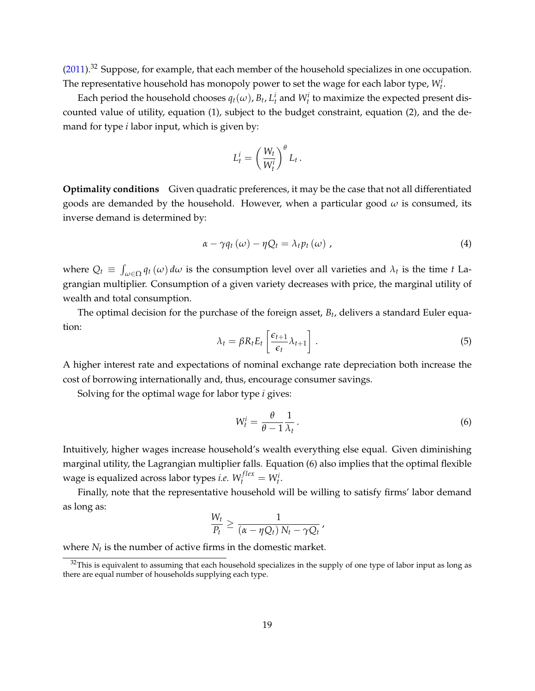(2011).<sup>32</sup> Suppose, for example, that each member of the household specializes in one occupation. The representative household has monopoly power to set the wage for each labor type,  $W_t^i$ .

Each period the household chooses  $q_t(\omega)$ ,  $B_t$ ,  $L_t^i$  and  $W_t^i$  to maximize the expected present discounted value of utility, equation (1), subject to the budget constraint, equation (2), and the demand for type *i* labor input, which is given by:

$$
L_t^i = \left(\frac{W_t}{W_t^i}\right)^{\theta} L_t.
$$

**Optimality conditions** Given quadratic preferences, it may be the case that not all differentiated goods are demanded by the household. However, when a particular good  $\omega$  is consumed, its inverse demand is determined by:

$$
\alpha - \gamma q_t(\omega) - \eta Q_t = \lambda_t p_t(\omega) , \qquad (4)
$$

where  $Q_t \equiv \int_{\omega \in \Omega} q_t(\omega) d\omega$  is the consumption level over all varieties and  $\lambda_t$  is the time *t* Lagrangian multiplier. Consumption of a given variety decreases with price, the marginal utility of wealth and total consumption.

The optimal decision for the purchase of the foreign asset, *Bt*, delivers a standard Euler equation:

$$
\lambda_t = \beta R_t E_t \left[ \frac{\epsilon_{t+1}}{\epsilon_t} \lambda_{t+1} \right]. \tag{5}
$$

A higher interest rate and expectations of nominal exchange rate depreciation both increase the cost of borrowing internationally and, thus, encourage consumer savings.

Solving for the optimal wage for labor type *i* gives:

$$
W_t^i = \frac{\theta}{\theta - 1} \frac{1}{\lambda_t} \,. \tag{6}
$$

Intuitively, higher wages increase household's wealth everything else equal. Given diminishing marginal utility, the Lagrangian multiplier falls. Equation (6) also implies that the optimal flexible wage is equalized across labor types *i.e.*  $W_t^{flex} = W_t^i$ .

Finally, note that the representative household will be willing to satisfy firms' labor demand as long as:

$$
\frac{W_t}{P_t} \ge \frac{1}{(\alpha - \eta Q_t) N_t - \gamma Q_t},
$$

where  $N_t$  is the number of active firms in the domestic market.

 $32$ This is equivalent to assuming that each household specializes in the supply of one type of labor input as long as there are equal number of households supplying each type.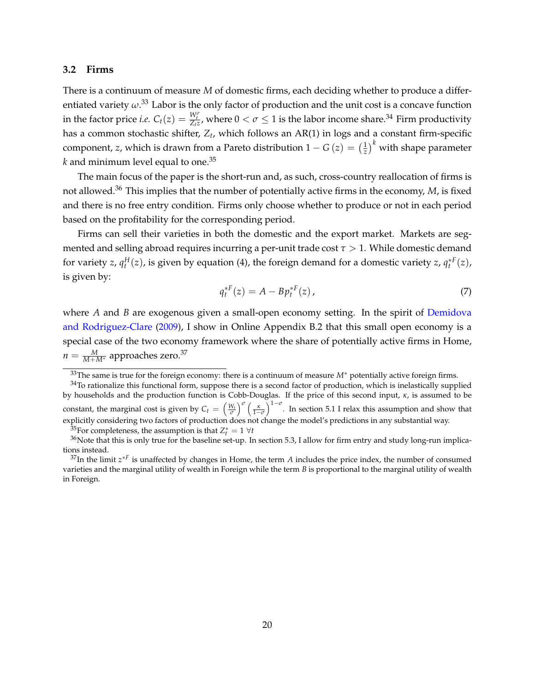#### **3.2 Firms**

There is a continuum of measure *M* of domestic firms, each deciding whether to produce a differentiated variety  $\omega^{.33}$  Labor is the only factor of production and the unit cost is a concave function in the factor price *i.e.*  $C_t(z) = \frac{W_t^{\sigma}}{Z_t z}$ , where  $0 < \sigma \leq 1$  is the labor income share.<sup>34</sup> Firm productivity has a common stochastic shifter,  $Z_t$ , which follows an AR(1) in logs and a constant firm-specific component, *z*, which is drawn from a Pareto distribution  $1 - G \left( z \right) = \left( \frac{1}{z} \right)^k$  with shape parameter  $k$  and minimum level equal to one.<sup>35</sup>

The main focus of the paper is the short-run and, as such, cross-country reallocation of firms is not allowed.<sup>36</sup> This implies that the number of potentially active firms in the economy, *M*, is fixed and there is no free entry condition. Firms only choose whether to produce or not in each period based on the profitability for the corresponding period.

Firms can sell their varieties in both the domestic and the export market. Markets are segmented and selling abroad requires incurring a per-unit trade cost *t >* 1. While domestic demand for variety *z*,  $q_t^H(z)$ , is given by equation (4), the foreign demand for a domestic variety *z*,  $q_t^{*F}(z)$ , is given by:

$$
q_t^{*F}(z) = A - B p_t^{*F}(z), \tag{7}
$$

where *A* and *B* are exogenous given a small-open economy setting. In the spirit of Demidova and Rodriguez-Clare (2009), I show in Online Appendix B.2 that this small open economy is a special case of the two economy framework where the share of potentially active firms in Home,  $n = \frac{M}{M+M^*}$  approaches zero.<sup>37</sup>

 $33$ The same is true for the foreign economy: there is a continuum of measure  $M^*$  potentially active foreign firms.

<sup>&</sup>lt;sup>34</sup>To rationalize this functional form, suppose there is a second factor of production, which is inelastically supplied by households and the production function is Cobb-Douglas. If the price of this second input, *k*, is assumed to be constant, the marginal cost is given by  $C_t = \left(\frac{W_t}{\sigma}\right)^{\sigma} \left(\frac{\kappa}{1-\sigma}\right)^{\sigma}$  $1-\sigma$  $\int_{1-\sigma}^{1-\sigma}$ . In section 5.1 I relax this assumption and show that explicitly considering two factors of production does not change the model's predictions in any substantial way.

 $\frac{35}{25}$  For completeness, the assumption is that  $Z_t^* = 1 \ \forall t$ 

 $36$ Note that this is only true for the baseline set-up. In section 5.3, I allow for firm entry and study long-run implications instead.

 $37$ In the limit  $z^{*F}$  is unaffected by changes in Home, the term *A* includes the price index, the number of consumed varieties and the marginal utility of wealth in Foreign while the term *B* is proportional to the marginal utility of wealth in Foreign.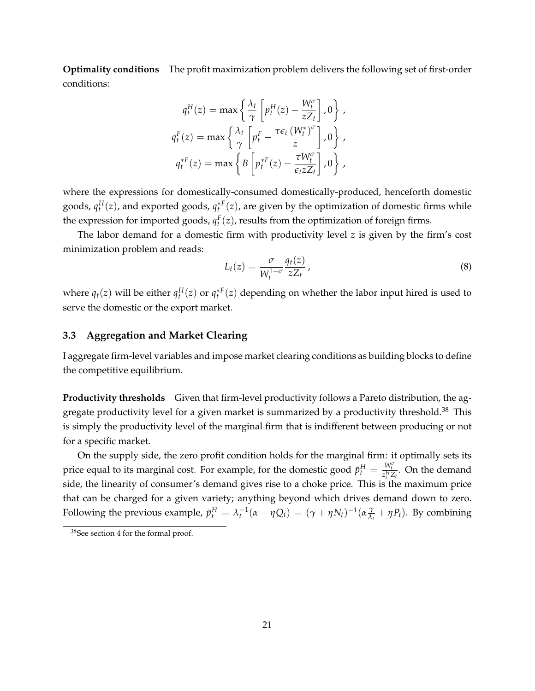**Optimality conditions** The profit maximization problem delivers the following set of first-order conditions:

$$
q_t^H(z) = \max \left\{ \frac{\lambda_t}{\gamma} \left[ p_t^H(z) - \frac{W_t^{\sigma}}{z Z_t} \right], 0 \right\},
$$
  

$$
q_t^F(z) = \max \left\{ \frac{\lambda_t}{\gamma} \left[ p_t^F - \frac{\tau \epsilon_t (W_t^*)^{\sigma}}{z} \right], 0 \right\},
$$
  

$$
q_t^{*F}(z) = \max \left\{ B \left[ p_t^{*F}(z) - \frac{\tau W_t^{\sigma}}{\epsilon_t z Z_t} \right], 0 \right\},
$$

where the expressions for domestically-consumed domestically-produced, henceforth domestic goods,  $q_t^H(z)$ , and exported goods,  $q_t^{*F}(z)$ , are given by the optimization of domestic firms while the expression for imported goods,  $q_t^F(z)$ , results from the optimization of foreign firms.

The labor demand for a domestic firm with productivity level *z* is given by the firm's cost minimization problem and reads:

$$
L_t(z) = \frac{\sigma}{W_t^{1-\sigma}} \frac{q_t(z)}{zZ_t},
$$
\n(8)

where  $q_t(z)$  will be either  $q_t^H(z)$  or  $q_t^*F(z)$  depending on whether the labor input hired is used to serve the domestic or the export market.

# **3.3 Aggregation and Market Clearing**

I aggregate firm-level variables and impose market clearing conditions as building blocks to define the competitive equilibrium.

**Productivity thresholds** Given that firm-level productivity follows a Pareto distribution, the aggregate productivity level for a given market is summarized by a productivity threshold.<sup>38</sup> This is simply the productivity level of the marginal firm that is indifferent between producing or not for a specific market.

On the supply side, the zero profit condition holds for the marginal firm: it optimally sets its price equal to its marginal cost. For example, for the domestic good  $\bar{p}^H_t = \frac{W^{\sigma}_t}{z^H_t Z_t}$ . On the demand side, the linearity of consumer's demand gives rise to a choke price. This is the maximum price that can be charged for a given variety; anything beyond which drives demand down to zero. Following the previous example,  $\bar{p}_t^H = \lambda_t^{-1}(\alpha - \eta Q_t) = (\gamma + \eta N_t)^{-1}(\alpha \frac{\gamma}{\lambda_t} + \eta P_t)$ . By combining

<sup>38</sup>See section 4 for the formal proof.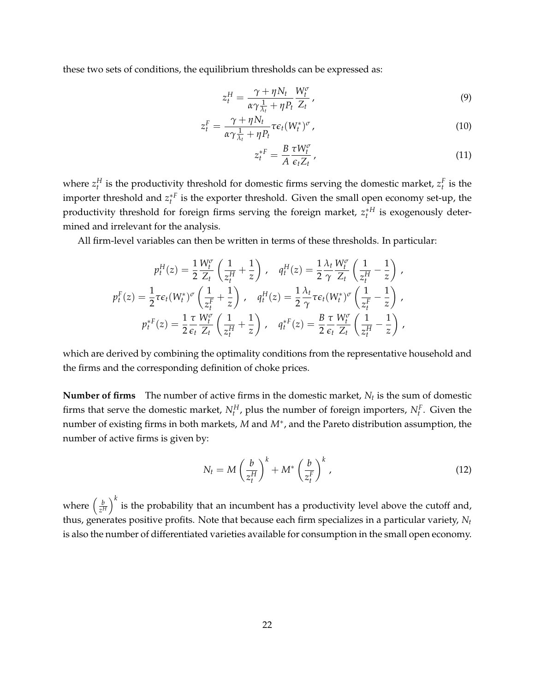these two sets of conditions, the equilibrium thresholds can be expressed as:

$$
z_t^H = \frac{\gamma + \eta N_t}{\alpha \gamma \frac{1}{\lambda_t} + \eta P_t} \frac{W_t^{\sigma}}{Z_t},
$$
\n<sup>(9)</sup>

$$
z_t^F = \frac{\gamma + \eta N_t}{\alpha \gamma \frac{1}{\lambda_t} + \eta P_t} \tau \epsilon_t (W_t^*)^{\sigma}, \qquad (10)
$$

$$
z_t^{*F} = \frac{B}{A} \frac{\tau W_t^{\sigma}}{\epsilon_t Z_t},\tag{11}
$$

where  $z_t^H$  is the productivity threshold for domestic firms serving the domestic market,  $z_t^F$  is the importer threshold and  $z_t^{*F}$  is the exporter threshold. Given the small open economy set-up, the productivity threshold for foreign firms serving the foreign market,  $z_{t}^{*H}$  is exogenously determined and irrelevant for the analysis.

All firm-level variables can then be written in terms of these thresholds. In particular:

$$
p_t^H(z) = \frac{1}{2} \frac{W_t^{\sigma}}{Z_t} \left( \frac{1}{z_t^H} + \frac{1}{z} \right), \quad q_t^H(z) = \frac{1}{2} \frac{\lambda_t}{\gamma} \frac{W_t^{\sigma}}{Z_t} \left( \frac{1}{z_t^H} - \frac{1}{z} \right),
$$
  

$$
p_t^F(z) = \frac{1}{2} \tau \epsilon_t (W_t^*)^{\sigma} \left( \frac{1}{z_t^F} + \frac{1}{z} \right), \quad q_t^H(z) = \frac{1}{2} \frac{\lambda_t}{\gamma} \tau \epsilon_t (W_t^*)^{\sigma} \left( \frac{1}{z_t^F} - \frac{1}{z} \right),
$$
  

$$
p_t^*F(z) = \frac{1}{2} \frac{\tau}{\epsilon_t} \frac{W_t^{\sigma}}{Z_t} \left( \frac{1}{z_t^H} + \frac{1}{z} \right), \quad q_t^*F(z) = \frac{B}{2} \frac{\tau}{\epsilon_t} \frac{W_t^{\sigma}}{Z_t} \left( \frac{1}{z_t^H} - \frac{1}{z} \right),
$$

which are derived by combining the optimality conditions from the representative household and the firms and the corresponding definition of choke prices.

**Number of firms** The number of active firms in the domestic market,  $N_t$  is the sum of domestic firms that serve the domestic market,  $N_t^H$ , plus the number of foreign importers,  $N_t^F$ . Given the number of existing firms in both markets, *M* and *M*<sup>\*</sup>, and the Pareto distribution assumption, the number of active firms is given by:

$$
N_t = M \left(\frac{b}{z_t^H}\right)^k + M^* \left(\frac{b}{z_t^F}\right)^k, \tag{12}
$$

where  $\left(\frac{b}{z^H}\right)$  $\big)_{k}^{k}$  is the probability that an incumbent has a productivity level above the cutoff and, thus, generates positive profits. Note that because each firm specializes in a particular variety, *Nt* is also the number of differentiated varieties available for consumption in the small open economy.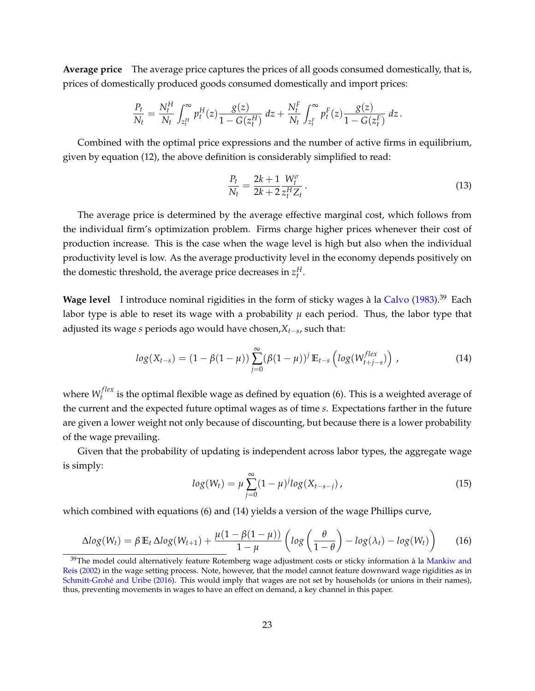**Average price** The average price captures the prices of all goods consumed domestically, that is, prices of domestically produced goods consumed domestically and import prices:

$$
\frac{P_t}{N_t} = \frac{N_t^H}{N_t} \int_{z_t^H}^{\infty} p_t^H(z) \frac{g(z)}{1 - G(z_t^H)} dz + \frac{N_t^F}{N_t} \int_{z_t^F}^{\infty} p_t^F(z) \frac{g(z)}{1 - G(z_t^F)} dz.
$$

Combined with the optimal price expressions and the number of active firms in equilibrium, given by equation (12), the above definition is considerably simplified to read:

$$
\frac{P_t}{N_t} = \frac{2k+1}{2k+2} \frac{W_t^{\sigma}}{z_t^H Z_t}.
$$
\n(13)

The average price is determined by the average effective marginal cost, which follows from the individual firm's optimization problem. Firms charge higher prices whenever their cost of production increase. This is the case when the wage level is high but also when the individual productivity level is low. As the average productivity level in the economy depends positively on the domestic threshold, the average price decreases in  $z_t^H$ .

Wage level I introduce nominal rigidities in the form of sticky wages à la Calvo (1983).<sup>39</sup> Each labor type is able to reset its wage with a probability  $\mu$  each period. Thus, the labor type that adjusted its wage *s* periods ago would have chosen, $X_{t-s}$ , such that:

$$
log(X_{t-s}) = (1 - \beta(1 - \mu)) \sum_{j=0}^{\infty} (\beta(1 - \mu))^j \mathbb{E}_{t-s} \left(log(W_{t+j-s}^{flex})\right),
$$
 (14)

where  $W_t^{flex}$  is the optimal flexible wage as defined by equation (6). This is a weighted average of the current and the expected future optimal wages as of time *s*. Expectations farther in the future are given a lower weight not only because of discounting, but because there is a lower probability of the wage prevailing.

Given that the probability of updating is independent across labor types, the aggregate wage is simply:

$$
log(W_t) = \mu \sum_{j=0}^{\infty} (1 - \mu)^j log(X_{t-s-j}), \qquad (15)
$$

which combined with equations (6) and (14) yields a version of the wage Phillips curve,

$$
\Delta log(W_t) = \beta \mathbb{E}_t \Delta log(W_{t+1}) + \frac{\mu (1 - \beta (1 - \mu))}{1 - \mu} \left( log \left( \frac{\theta}{1 - \theta} \right) - log(\lambda_t) - log(W_t) \right) \tag{16}
$$

 $39$ The model could alternatively feature Rotemberg wage adjustment costs or sticky information à la Mankiw and Reis (2002) in the wage setting process. Note, however, that the model cannot feature downward wage rigidities as in Schmitt-Grohé and Uribe (2016). This would imply that wages are not set by households (or unions in their names), thus, preventing movements in wages to have an effect on demand, a key channel in this paper.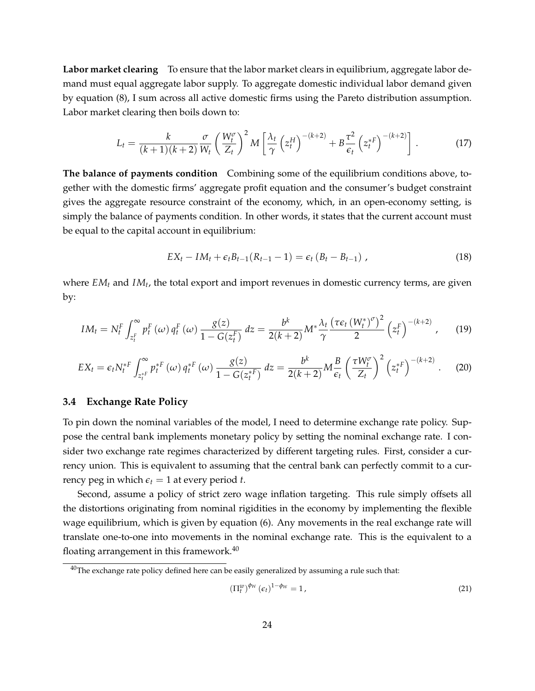**Labor market clearing** To ensure that the labor market clears in equilibrium, aggregate labor demand must equal aggregate labor supply. To aggregate domestic individual labor demand given by equation (8), I sum across all active domestic firms using the Pareto distribution assumption. Labor market clearing then boils down to:

$$
L_t = \frac{k}{(k+1)(k+2)} \frac{\sigma}{W_t} \left(\frac{W_t^{\sigma}}{Z_t}\right)^2 M \left[\frac{\lambda_t}{\gamma} \left(z_t^H\right)^{-(k+2)} + B \frac{\tau^2}{\epsilon_t} \left(z_t^{*F}\right)^{-(k+2)}\right].
$$
 (17)

**The balance of payments condition** Combining some of the equilibrium conditions above, together with the domestic firms' aggregate profit equation and the consumer's budget constraint gives the aggregate resource constraint of the economy, which, in an open-economy setting, is simply the balance of payments condition. In other words, it states that the current account must be equal to the capital account in equilibrium:

$$
EX_{t} - IM_{t} + \epsilon_{t}B_{t-1}(R_{t-1} - 1) = \epsilon_{t} (B_{t} - B_{t-1}), \qquad (18)
$$

where *EM<sub>t</sub>* and *IM<sub>t</sub>*, the total export and import revenues in domestic currency terms, are given by:

$$
IM_t = N_t^F \int_{z_t^F}^{\infty} p_t^F(\omega) q_t^F(\omega) \frac{g(z)}{1 - G(z_t^F)} dz = \frac{b^k}{2(k+2)} M^* \frac{\lambda_t}{\gamma} \frac{(\tau \epsilon_t (W_t^*)^{\sigma})^2}{2} (z_t^F)^{-(k+2)}, \quad (19)
$$

$$
EX_t = \epsilon_t N_t^{*F} \int_{z_t^{*F}}^{\infty} p_t^{*F} \left(\omega\right) q_t^{*F} \left(\omega\right) \frac{g(z)}{1 - G(z_t^{*F})} \, dz = \frac{b^k}{2(k+2)} M \frac{B}{\epsilon_t} \left(\frac{\tau W_t^{\sigma}}{Z_t}\right)^2 \left(z_t^{*F}\right)^{-(k+2)} \,. \tag{20}
$$

#### **3.4 Exchange Rate Policy**

To pin down the nominal variables of the model, I need to determine exchange rate policy. Suppose the central bank implements monetary policy by setting the nominal exchange rate. I consider two exchange rate regimes characterized by different targeting rules. First, consider a currency union. This is equivalent to assuming that the central bank can perfectly commit to a currency peg in which  $\epsilon_t = 1$  at every period *t*.

Second, assume a policy of strict zero wage inflation targeting. This rule simply offsets all the distortions originating from nominal rigidities in the economy by implementing the flexible wage equilibrium, which is given by equation (6). Any movements in the real exchange rate will translate one-to-one into movements in the nominal exchange rate. This is the equivalent to a floating arrangement in this framework.<sup>40</sup>

$$
\left(\Pi_t^w\right)^{\phi_W} \left(\epsilon_t\right)^{1-\phi_W} = 1,\tag{21}
$$

 $40$ The exchange rate policy defined here can be easily generalized by assuming a rule such that: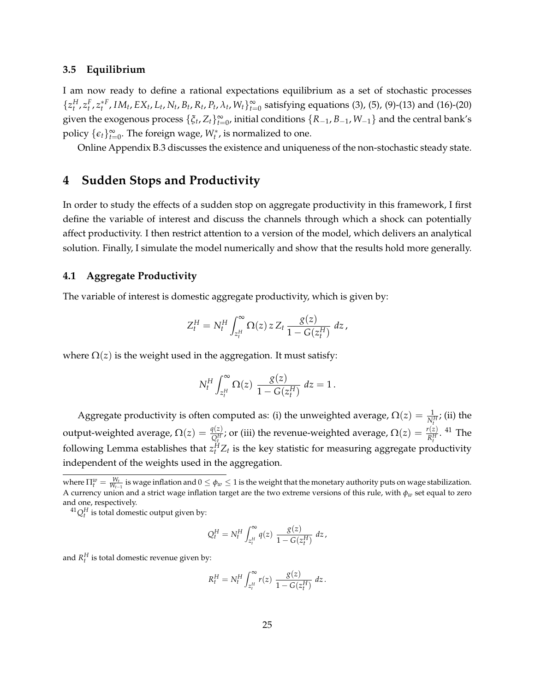#### **3.5 Equilibrium**

I am now ready to define a rational expectations equilibrium as a set of stochastic processes  $\{z_t^H, z_t^F, z_t^{*F}, IM_t, EX_t, L_t, N_t, B_t, R_t, P_t, \lambda_t, W_t\}_{t=0}^{\infty}$  satisfying equations (3), (5), (9)-(13) and (16)-(20) given the exogenous process  $\{\xi_t, Z_t\}_{t=0}^{\infty}$ , initial conditions  $\{R_{-1}, B_{-1}, W_{-1}\}$  and the central bank's policy  $\{\epsilon_t\}_{t=0}^{\infty}$ . The foreign wage,  $W_t^*$ , is normalized to one.

Online Appendix B.3 discusses the existence and uniqueness of the non-stochastic steady state.

# **4 Sudden Stops and Productivity**

In order to study the effects of a sudden stop on aggregate productivity in this framework, I first define the variable of interest and discuss the channels through which a shock can potentially affect productivity. I then restrict attention to a version of the model, which delivers an analytical solution. Finally, I simulate the model numerically and show that the results hold more generally.

### **4.1 Aggregate Productivity**

The variable of interest is domestic aggregate productivity, which is given by:

$$
Z_t^H = N_t^H \int_{z_t^H}^{\infty} \Omega(z) z Z_t \frac{g(z)}{1 - G(z_t^H)} dz,
$$

where  $\Omega(z)$  is the weight used in the aggregation. It must satisfy:

$$
N_t^H \int_{z_t^H}^{\infty} \Omega(z) \; \frac{g(z)}{1 - G(z_t^H)} \; dz = 1 \, .
$$

Aggregate productivity is often computed as: (i) the unweighted average,  $\Omega(z) = \frac{1}{N_t^H}$ ; (ii) the output-weighted average,  $\Omega(z)=\frac{q(z)}{Q_t^H}$ ; or (iii) the revenue-weighted average,  $\Omega(z)=\frac{r(z)}{R_t^H}$ . <sup>41</sup> The following Lemma establishes that  $z_t^H Z_t$  is the key statistic for measuring aggregate productivity independent of the weights used in the aggregation.

 ${}^{41}Q_t^H$  is total domestic output given by:

$$
Q_t^H = N_t^H \int_{z_t^H}^{\infty} q(z) \; \frac{g(z)}{1 - G(z_t^H)} \; dz \, ,
$$

and  $R_t^H$  is total domestic revenue given by:

$$
R_t^H = N_t^H \int_{z_t^H}^{\infty} r(z) \frac{g(z)}{1 - G(z_t^H)} dz.
$$

where  $\Pi_t^w = \frac{W_t}{W_{t-1}}$  is wage inflation and  $0 \le \phi_w \le 1$  is the weight that the monetary authority puts on wage stabilization. A currency union and a strict wage inflation target are the two extreme versions of this rule, with  $\phi_w$  set equal to zero and one, respectively.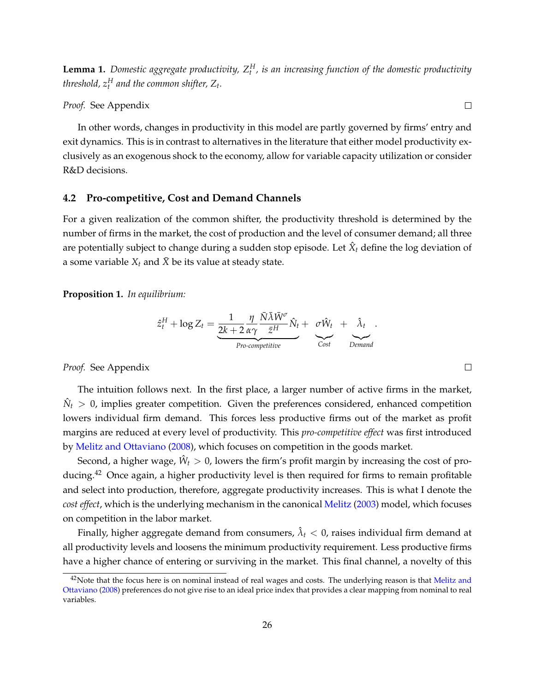**Lemma 1.** *Domestic aggregate productivity, Z<sup>H</sup> <sup>t</sup> , is an increasing function of the domestic productivity*  $th$ reshold,  $z^H_t$  and the common shifter,  $Z_t$ .

*Proof.* See Appendix

In other words, changes in productivity in this model are partly governed by firms' entry and exit dynamics. This is in contrast to alternatives in the literature that either model productivity exclusively as an exogenous shock to the economy, allow for variable capacity utilization or consider R&D decisions.

#### **4.2 Pro-competitive, Cost and Demand Channels**

For a given realization of the common shifter, the productivity threshold is determined by the number of firms in the market, the cost of production and the level of consumer demand; all three are potentially subject to change during a sudden stop episode. Let  $\hat{X}_t$  define the log deviation of a some variable  $X_t$  and  $\bar{X}$  be its value at steady state.

**Proposition 1.** *In equilibrium:*

$$
\hat{z}_t^H + \log Z_t = \underbrace{\frac{1}{2k+2} \frac{\eta}{\alpha \gamma} \frac{\bar{N} \bar{\lambda} \bar{W}^{\sigma}}{\bar{z}^H} \hat{N}_t}_{Pro-competitive} + \underbrace{\sigma \hat{W}_t}_{Cost} + \underbrace{\hat{\lambda}_t}_{Demand}
$$

*Proof.* See Appendix

The intuition follows next. In the first place, a larger number of active firms in the market,  $\hat{N}_t > 0$ , implies greater competition. Given the preferences considered, enhanced competition lowers individual firm demand. This forces less productive firms out of the market as profit margins are reduced at every level of productivity. This *pro-competitive effect* was first introduced by Melitz and Ottaviano (2008), which focuses on competition in the goods market.

Second, a higher wage,  $\hat{W}_t > 0$ , lowers the firm's profit margin by increasing the cost of producing.<sup>42</sup> Once again, a higher productivity level is then required for firms to remain profitable and select into production, therefore, aggregate productivity increases. This is what I denote the *cost effect*, which is the underlying mechanism in the canonical Melitz (2003) model, which focuses on competition in the labor market.

Finally, higher aggregate demand from consumers,  $\hat{\lambda}_t < 0$ , raises individual firm demand at all productivity levels and loosens the minimum productivity requirement. Less productive firms have a higher chance of entering or surviving in the market. This final channel, a novelty of this

 $\Box$ 

.

 $\Box$ 

<sup>&</sup>lt;sup>42</sup>Note that the focus here is on nominal instead of real wages and costs. The underlying reason is that Melitz and Ottaviano (2008) preferences do not give rise to an ideal price index that provides a clear mapping from nominal to real variables.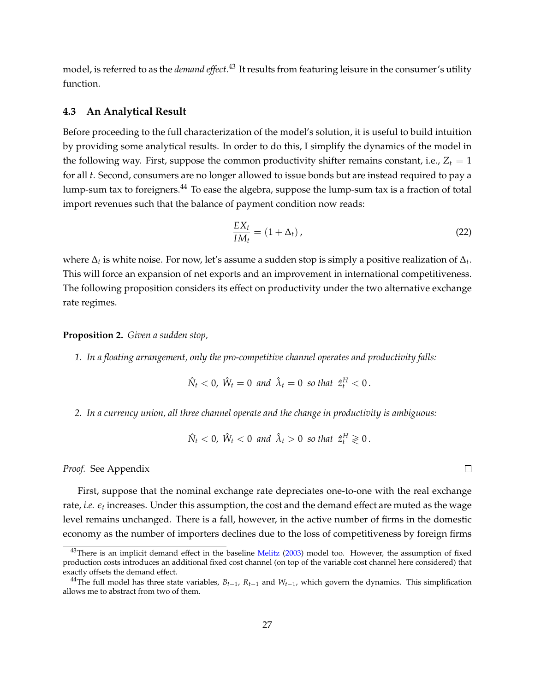model, is referred to as the *demand effect*. <sup>43</sup> It results from featuring leisure in the consumer's utility function.

# **4.3 An Analytical Result**

Before proceeding to the full characterization of the model's solution, it is useful to build intuition by providing some analytical results. In order to do this, I simplify the dynamics of the model in the following way. First, suppose the common productivity shifter remains constant, i.e.,  $Z_t = 1$ for all *t*. Second, consumers are no longer allowed to issue bonds but are instead required to pay a lump-sum tax to foreigners.<sup>44</sup> To ease the algebra, suppose the lump-sum tax is a fraction of total import revenues such that the balance of payment condition now reads:

$$
\frac{EX_t}{IM_t} = (1 + \Delta_t),\tag{22}
$$

where  $\Delta_t$  is white noise. For now, let's assume a sudden stop is simply a positive realization of  $\Delta_t$ . This will force an expansion of net exports and an improvement in international competitiveness. The following proposition considers its effect on productivity under the two alternative exchange rate regimes.

# **Proposition 2.** *Given a sudden stop,*

*1. In a floating arrangement, only the pro-competitive channel operates and productivity falls:*

$$
\hat{N}_t < 0, \ \hat{W}_t = 0 \ \text{and} \ \hat{\lambda}_t = 0 \ \text{so that} \ \hat{z}_t^H < 0 \,.
$$

*2. In a currency union, all three channel operate and the change in productivity is ambiguous:*

$$
\hat{N}_t < 0, \ \hat{W}_t < 0 \ \text{and} \ \hat{\lambda}_t > 0 \ \text{so that} \ \hat{z}_t^H \geq 0 \, .
$$

*Proof.* See Appendix

First, suppose that the nominal exchange rate depreciates one-to-one with the real exchange rate, *i.e. e<sup>t</sup>* increases. Under this assumption, the cost and the demand effect are muted as the wage level remains unchanged. There is a fall, however, in the active number of firms in the domestic economy as the number of importers declines due to the loss of competitiveness by foreign firms

 $\Box$ 

 $43$ There is an implicit demand effect in the baseline Melitz (2003) model too. However, the assumption of fixed production costs introduces an additional fixed cost channel (on top of the variable cost channel here considered) that exactly offsets the demand effect.

<sup>&</sup>lt;sup>44</sup>The full model has three state variables,  $B_{t-1}$ ,  $R_{t-1}$  and  $W_{t-1}$ , which govern the dynamics. This simplification allows me to abstract from two of them.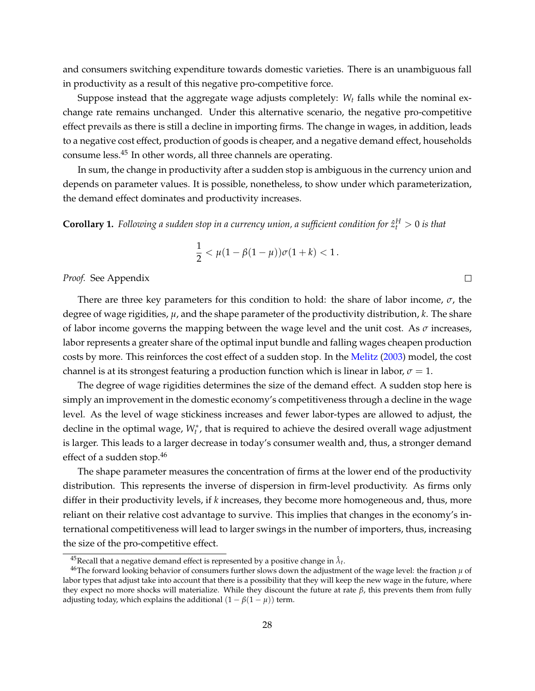and consumers switching expenditure towards domestic varieties. There is an unambiguous fall in productivity as a result of this negative pro-competitive force.

Suppose instead that the aggregate wage adjusts completely: *W<sub>t</sub>* falls while the nominal exchange rate remains unchanged. Under this alternative scenario, the negative pro-competitive effect prevails as there is still a decline in importing firms. The change in wages, in addition, leads to a negative cost effect, production of goods is cheaper, and a negative demand effect, households consume less.45 In other words, all three channels are operating.

In sum, the change in productivity after a sudden stop is ambiguous in the currency union and depends on parameter values. It is possible, nonetheless, to show under which parameterization, the demand effect dominates and productivity increases.

 $\bf{Corollary 1.}$   $\it Following$  a sudden stop in a currency union, a sufficient condition for  $\hat{z}^H_t > 0$  is that

$$
\frac{1}{2} < \mu(1 - \beta(1 - \mu))\sigma(1 + k) < 1.
$$

 $\Box$ 

*Proof.* See Appendix

There are three key parameters for this condition to hold: the share of labor income,  $\sigma$ , the degree of wage rigidities, *µ*, and the shape parameter of the productivity distribution, *k*. The share of labor income governs the mapping between the wage level and the unit cost. As  $\sigma$  increases, labor represents a greater share of the optimal input bundle and falling wages cheapen production costs by more. This reinforces the cost effect of a sudden stop. In the Melitz (2003) model, the cost channel is at its strongest featuring a production function which is linear in labor,  $\sigma = 1$ .

The degree of wage rigidities determines the size of the demand effect. A sudden stop here is simply an improvement in the domestic economy's competitiveness through a decline in the wage level. As the level of wage stickiness increases and fewer labor-types are allowed to adjust, the decline in the optimal wage,  $W_t^*$ , that is required to achieve the desired overall wage adjustment is larger. This leads to a larger decrease in today's consumer wealth and, thus, a stronger demand effect of a sudden stop.46

The shape parameter measures the concentration of firms at the lower end of the productivity distribution. This represents the inverse of dispersion in firm-level productivity. As firms only differ in their productivity levels, if *k* increases, they become more homogeneous and, thus, more reliant on their relative cost advantage to survive. This implies that changes in the economy's international competitiveness will lead to larger swings in the number of importers, thus, increasing the size of the pro-competitive effect.

<sup>&</sup>lt;sup>45</sup>Recall that a negative demand effect is represented by a positive change in  $\hat{\lambda}_t$ .<br><sup>46</sup>The forward looking behavior of consumers further slows down the adjustment of the wage level: the fraction *µ* of labor types that adjust take into account that there is a possibility that they will keep the new wage in the future, where they expect no more shocks will materialize. While they discount the future at rate  $\beta$ , this prevents them from fully adjusting today, which explains the additional  $(1 - \beta(1 - \mu))$  term.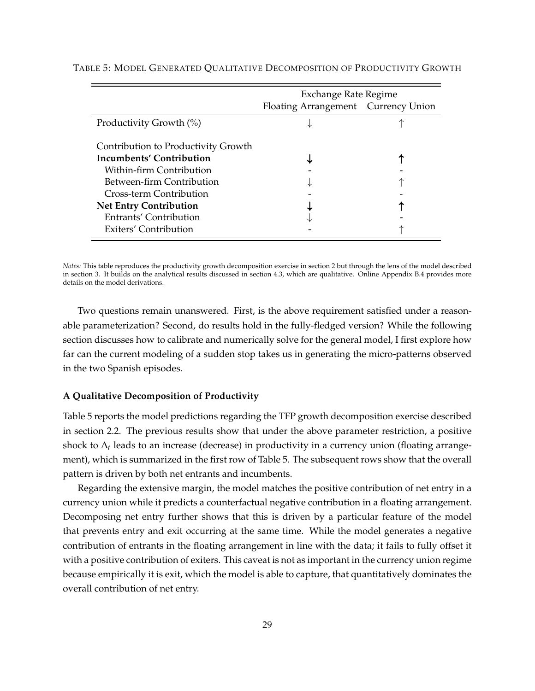|                                     | <b>Exchange Rate Regime</b>         |  |  |
|-------------------------------------|-------------------------------------|--|--|
|                                     | Floating Arrangement Currency Union |  |  |
| Productivity Growth (%)             |                                     |  |  |
| Contribution to Productivity Growth |                                     |  |  |
| Incumbents' Contribution            |                                     |  |  |
| Within-firm Contribution            |                                     |  |  |
| Between-firm Contribution           |                                     |  |  |
| Cross-term Contribution             |                                     |  |  |
| <b>Net Entry Contribution</b>       |                                     |  |  |
| Entrants' Contribution              |                                     |  |  |
| Exiters' Contribution               |                                     |  |  |

#### TABLE 5: MODEL GENERATED QUALITATIVE DECOMPOSITION OF PRODUCTIVITY GROWTH

*Notes:* This table reproduces the productivity growth decomposition exercise in section 2 but through the lens of the model described in section 3. It builds on the analytical results discussed in section 4.3, which are qualitative. Online Appendix B.4 provides more details on the model derivations.

Two questions remain unanswered. First, is the above requirement satisfied under a reasonable parameterization? Second, do results hold in the fully-fledged version? While the following section discusses how to calibrate and numerically solve for the general model, I first explore how far can the current modeling of a sudden stop takes us in generating the micro-patterns observed in the two Spanish episodes.

#### **A Qualitative Decomposition of Productivity**

Table 5 reports the model predictions regarding the TFP growth decomposition exercise described in section 2.2. The previous results show that under the above parameter restriction, a positive shock to  $\Delta_t$  leads to an increase (decrease) in productivity in a currency union (floating arrangement), which is summarized in the first row of Table 5. The subsequent rows show that the overall pattern is driven by both net entrants and incumbents.

Regarding the extensive margin, the model matches the positive contribution of net entry in a currency union while it predicts a counterfactual negative contribution in a floating arrangement. Decomposing net entry further shows that this is driven by a particular feature of the model that prevents entry and exit occurring at the same time. While the model generates a negative contribution of entrants in the floating arrangement in line with the data; it fails to fully offset it with a positive contribution of exiters. This caveat is not as important in the currency union regime because empirically it is exit, which the model is able to capture, that quantitatively dominates the overall contribution of net entry.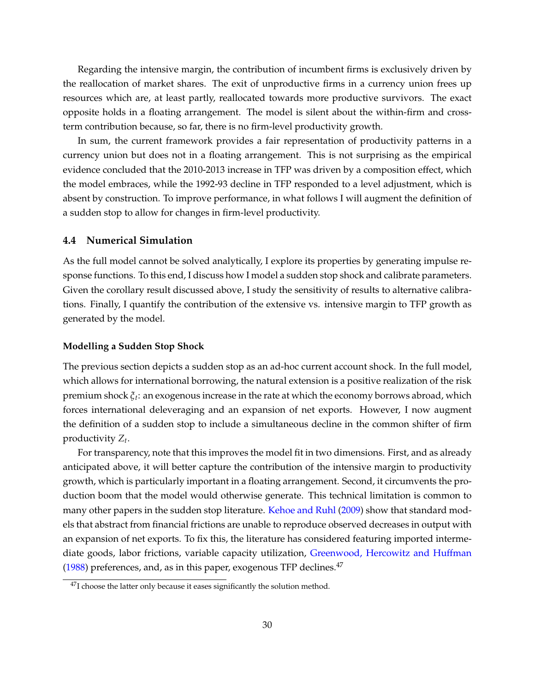Regarding the intensive margin, the contribution of incumbent firms is exclusively driven by the reallocation of market shares. The exit of unproductive firms in a currency union frees up resources which are, at least partly, reallocated towards more productive survivors. The exact opposite holds in a floating arrangement. The model is silent about the within-firm and crossterm contribution because, so far, there is no firm-level productivity growth.

In sum, the current framework provides a fair representation of productivity patterns in a currency union but does not in a floating arrangement. This is not surprising as the empirical evidence concluded that the 2010-2013 increase in TFP was driven by a composition effect, which the model embraces, while the 1992-93 decline in TFP responded to a level adjustment, which is absent by construction. To improve performance, in what follows I will augment the definition of a sudden stop to allow for changes in firm-level productivity.

# **4.4 Numerical Simulation**

As the full model cannot be solved analytically, I explore its properties by generating impulse response functions. To this end, I discuss how I model a sudden stop shock and calibrate parameters. Given the corollary result discussed above, I study the sensitivity of results to alternative calibrations. Finally, I quantify the contribution of the extensive vs. intensive margin to TFP growth as generated by the model.

#### **Modelling a Sudden Stop Shock**

The previous section depicts a sudden stop as an ad-hoc current account shock. In the full model, which allows for international borrowing, the natural extension is a positive realization of the risk premium shock  $\xi_t$ : an exogenous increase in the rate at which the economy borrows abroad, which forces international deleveraging and an expansion of net exports. However, I now augment the definition of a sudden stop to include a simultaneous decline in the common shifter of firm productivity *Zt*.

For transparency, note that this improves the model fit in two dimensions. First, and as already anticipated above, it will better capture the contribution of the intensive margin to productivity growth, which is particularly important in a floating arrangement. Second, it circumvents the production boom that the model would otherwise generate. This technical limitation is common to many other papers in the sudden stop literature. Kehoe and Ruhl (2009) show that standard models that abstract from financial frictions are unable to reproduce observed decreases in output with an expansion of net exports. To fix this, the literature has considered featuring imported intermediate goods, labor frictions, variable capacity utilization, Greenwood, Hercowitz and Huffman  $(1988)$  preferences, and, as in this paper, exogenous TFP declines.<sup>47</sup>

<sup>&</sup>lt;sup>47</sup>I choose the latter only because it eases significantly the solution method.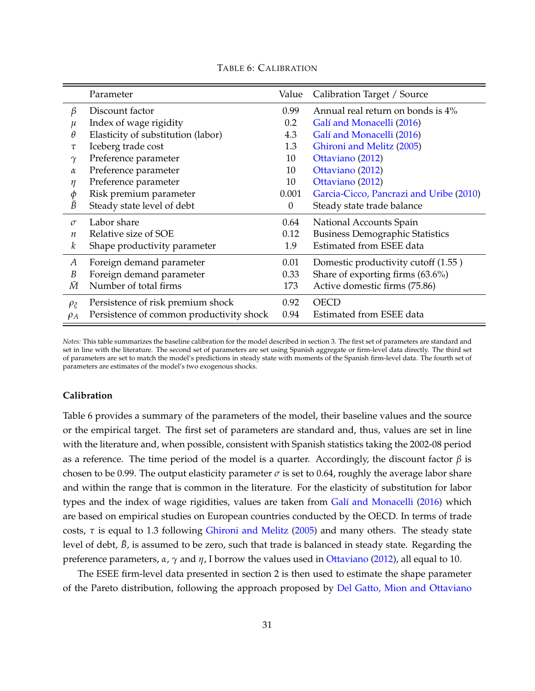|                  | Parameter                                | Value            | Calibration Target / Source             |
|------------------|------------------------------------------|------------------|-----------------------------------------|
| β                | Discount factor                          | 0.99             | Annual real return on bonds is 4%       |
| $\mu$            | Index of wage rigidity                   | 0.2              | Galí and Monacelli (2016)               |
| θ                | Elasticity of substitution (labor)       | 4.3              | Galí and Monacelli (2016)               |
| $\tau$           | Iceberg trade cost                       | 1.3              | Ghironi and Melitz (2005)               |
| $\gamma$         | Preference parameter                     | 10               | Ottaviano (2012)                        |
| $\alpha$         | Preference parameter                     | 10               | Ottaviano (2012)                        |
| η                | Preference parameter                     | 10               | Ottaviano (2012)                        |
| φ                | Risk premium parameter                   | 0.001            | Garcia-Cicco, Pancrazi and Uribe (2010) |
| $\bar{B}$        | Steady state level of debt               | $\boldsymbol{0}$ | Steady state trade balance              |
| $\sigma$         | Labor share                              | 0.64             | National Accounts Spain                 |
| $\boldsymbol{n}$ | Relative size of SOE                     | 0.12             | <b>Business Demographic Statistics</b>  |
| k                | Shape productivity parameter             | 1.9              | Estimated from ESEE data                |
| A                | Foreign demand parameter                 | 0.01             | Domestic productivity cutoff (1.55)     |
| B                | Foreign demand parameter                 | 0.33             | Share of exporting firms (63.6%)        |
| Ӣ                | Number of total firms                    | 173              | Active domestic firms (75.86)           |
| $\rho_{\xi}$     | Persistence of risk premium shock        | 0.92             | <b>OECD</b>                             |
| $\rho_A$         | Persistence of common productivity shock | 0.94             | Estimated from ESEE data                |

TABLE 6: CALIBRATION

*Notes:* This table summarizes the baseline calibration for the model described in section 3. The first set of parameters are standard and set in line with the literature. The second set of parameters are set using Spanish aggregate or firm-level data directly. The third set of parameters are set to match the model's predictions in steady state with moments of the Spanish firm-level data. The fourth set of parameters are estimates of the model's two exogenous shocks.

### **Calibration**

Table 6 provides a summary of the parameters of the model, their baseline values and the source or the empirical target. The first set of parameters are standard and, thus, values are set in line with the literature and, when possible, consistent with Spanish statistics taking the 2002-08 period as a reference. The time period of the model is a quarter. Accordingly, the discount factor  $\beta$  is chosen to be 0.99. The output elasticity parameter  $\sigma$  is set to 0.64, roughly the average labor share and within the range that is common in the literature. For the elasticity of substitution for labor types and the index of wage rigidities, values are taken from Galí and Monacelli (2016) which are based on empirical studies on European countries conducted by the OECD. In terms of trade costs,  $\tau$  is equal to 1.3 following Ghironi and Melitz (2005) and many others. The steady state level of debt,  $\bar{B}$ , is assumed to be zero, such that trade is balanced in steady state. Regarding the preference parameters,  $\alpha$ ,  $\gamma$  and  $\eta$ , I borrow the values used in Ottaviano (2012), all equal to 10.

The ESEE firm-level data presented in section 2 is then used to estimate the shape parameter of the Pareto distribution, following the approach proposed by Del Gatto, Mion and Ottaviano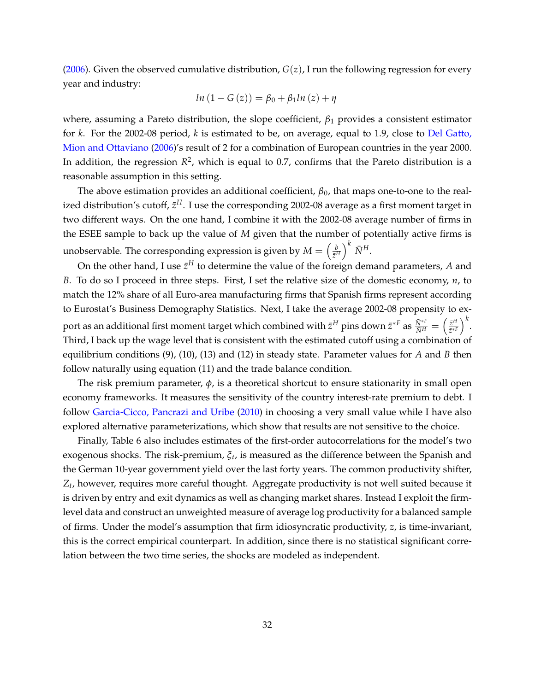(2006). Given the observed cumulative distribution, *G*(*z*), I run the following regression for every year and industry:

$$
ln (1 - G(z)) = \beta_0 + \beta_1 ln (z) + \eta
$$

where, assuming a Pareto distribution, the slope coefficient,  $\beta_1$  provides a consistent estimator for *k*. For the 2002-08 period, *k* is estimated to be, on average, equal to 1.9, close to Del Gatto, Mion and Ottaviano (2006)'s result of 2 for a combination of European countries in the year 2000. In addition, the regression  $R^2$ , which is equal to 0.7, confirms that the Pareto distribution is a reasonable assumption in this setting.

The above estimation provides an additional coefficient,  $\beta_0$ , that maps one-to-one to the realized distribution's cutoff,  $\bar{z}^H$ . I use the corresponding 2002-08 average as a first moment target in two different ways. On the one hand, I combine it with the 2002-08 average number of firms in the ESEE sample to back up the value of *M* given that the number of potentially active firms is unobservable. The corresponding expression is given by  $M = \begin{pmatrix} \frac{b}{\sigma^2} & b \end{pmatrix}$  $\bar{z}^H$  $\big)^k \bar{N}^H$ .

On the other hand, I use  $\bar{z}^H$  to determine the value of the foreign demand parameters, *A* and *B*. To do so I proceed in three steps. First, I set the relative size of the domestic economy, *n*, to match the 12% share of all Euro-area manufacturing firms that Spanish firms represent according to Eurostat's Business Demography Statistics. Next, I take the average 2002-08 propensity to export as an additional first moment target which combined with  $\bar z^H$  pins down  $\bar z^{*F}$  as  $\frac{\bar N^{*F}}{\bar N^H}=\left(\frac{\bar z^H}{\bar z^{*H}}\right)^{-1}$ *z*¯⇤*<sup>F</sup>*  $\big)^k$ . Third, I back up the wage level that is consistent with the estimated cutoff using a combination of equilibrium conditions (9), (10), (13) and (12) in steady state. Parameter values for *A* and *B* then follow naturally using equation (11) and the trade balance condition.

The risk premium parameter,  $\phi$ , is a theoretical shortcut to ensure stationarity in small open economy frameworks. It measures the sensitivity of the country interest-rate premium to debt. I follow Garcia-Cicco, Pancrazi and Uribe (2010) in choosing a very small value while I have also explored alternative parameterizations, which show that results are not sensitive to the choice.

Finally, Table 6 also includes estimates of the first-order autocorrelations for the model's two exogenous shocks. The risk-premium, *xt*, is measured as the difference between the Spanish and the German 10-year government yield over the last forty years. The common productivity shifter, *Zt*, however, requires more careful thought. Aggregate productivity is not well suited because it is driven by entry and exit dynamics as well as changing market shares. Instead I exploit the firmlevel data and construct an unweighted measure of average log productivity for a balanced sample of firms. Under the model's assumption that firm idiosyncratic productivity, *z*, is time-invariant, this is the correct empirical counterpart. In addition, since there is no statistical significant correlation between the two time series, the shocks are modeled as independent.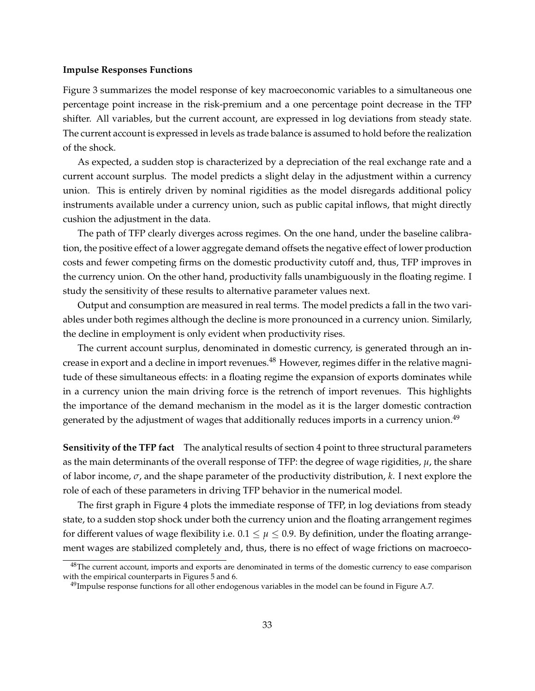#### **Impulse Responses Functions**

Figure 3 summarizes the model response of key macroeconomic variables to a simultaneous one percentage point increase in the risk-premium and a one percentage point decrease in the TFP shifter. All variables, but the current account, are expressed in log deviations from steady state. The current account is expressed in levels as trade balance is assumed to hold before the realization of the shock.

As expected, a sudden stop is characterized by a depreciation of the real exchange rate and a current account surplus. The model predicts a slight delay in the adjustment within a currency union. This is entirely driven by nominal rigidities as the model disregards additional policy instruments available under a currency union, such as public capital inflows, that might directly cushion the adjustment in the data.

The path of TFP clearly diverges across regimes. On the one hand, under the baseline calibration, the positive effect of a lower aggregate demand offsets the negative effect of lower production costs and fewer competing firms on the domestic productivity cutoff and, thus, TFP improves in the currency union. On the other hand, productivity falls unambiguously in the floating regime. I study the sensitivity of these results to alternative parameter values next.

Output and consumption are measured in real terms. The model predicts a fall in the two variables under both regimes although the decline is more pronounced in a currency union. Similarly, the decline in employment is only evident when productivity rises.

The current account surplus, denominated in domestic currency, is generated through an increase in export and a decline in import revenues.<sup>48</sup> However, regimes differ in the relative magnitude of these simultaneous effects: in a floating regime the expansion of exports dominates while in a currency union the main driving force is the retrench of import revenues. This highlights the importance of the demand mechanism in the model as it is the larger domestic contraction generated by the adjustment of wages that additionally reduces imports in a currency union.<sup>49</sup>

**Sensitivity of the TFP fact** The analytical results of section 4 point to three structural parameters as the main determinants of the overall response of TFP: the degree of wage rigidities, *µ*, the share of labor income,  $\sigma$ , and the shape parameter of the productivity distribution,  $k$ . I next explore the role of each of these parameters in driving TFP behavior in the numerical model.

The first graph in Figure 4 plots the immediate response of TFP, in log deviations from steady state, to a sudden stop shock under both the currency union and the floating arrangement regimes for different values of wage flexibility i.e.  $0.1 \leq \mu \leq 0.9$ . By definition, under the floating arrangement wages are stabilized completely and, thus, there is no effect of wage frictions on macroeco-

<sup>&</sup>lt;sup>48</sup>The current account, imports and exports are denominated in terms of the domestic currency to ease comparison with the empirical counterparts in Figures 5 and 6.

 $^{49}$ Impulse response functions for all other endogenous variables in the model can be found in Figure A.7.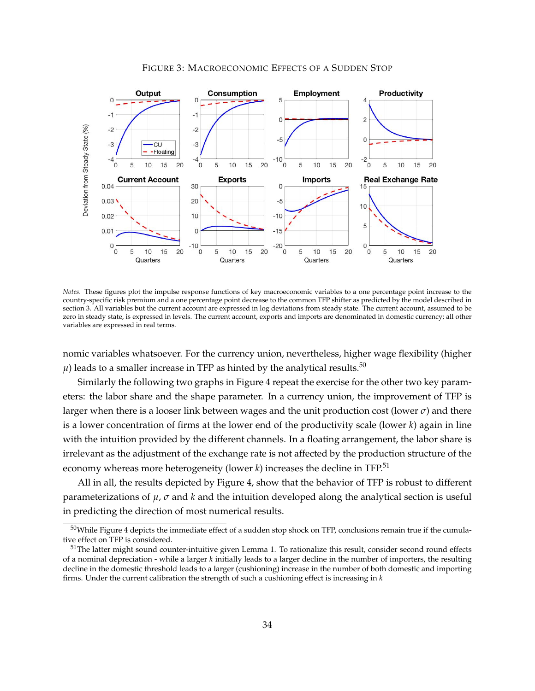

#### FIGURE 3: MACROECONOMIC EFFECTS OF A SUDDEN STOP

*Notes.* These figures plot the impulse response functions of key macroeconomic variables to a one percentage point increase to the country-specific risk premium and a one percentage point decrease to the common TFP shifter as predicted by the model described in section 3. All variables but the current account are expressed in log deviations from steady state. The current account, assumed to be zero in steady state, is expressed in levels. The current account, exports and imports are denominated in domestic currency; all other variables are expressed in real terms.

nomic variables whatsoever. For the currency union, nevertheless, higher wage flexibility (higher  $\mu$ ) leads to a smaller increase in TFP as hinted by the analytical results.<sup>50</sup>

Similarly the following two graphs in Figure 4 repeat the exercise for the other two key parameters: the labor share and the shape parameter. In a currency union, the improvement of TFP is larger when there is a looser link between wages and the unit production cost (lower  $\sigma$ ) and there is a lower concentration of firms at the lower end of the productivity scale (lower *k*) again in line with the intuition provided by the different channels. In a floating arrangement, the labor share is irrelevant as the adjustment of the exchange rate is not affected by the production structure of the economy whereas more heterogeneity (lower *k*) increases the decline in TFP.<sup>51</sup>

All in all, the results depicted by Figure 4, show that the behavior of TFP is robust to different parameterizations of  $\mu$ ,  $\sigma$  and  $k$  and the intuition developed along the analytical section is useful in predicting the direction of most numerical results.

 $50$ While Figure 4 depicts the immediate effect of a sudden stop shock on TFP, conclusions remain true if the cumulative effect on TFP is considered.

 $51$ The latter might sound counter-intuitive given Lemma 1. To rationalize this result, consider second round effects of a nominal depreciation - while a larger *k* initially leads to a larger decline in the number of importers, the resulting decline in the domestic threshold leads to a larger (cushioning) increase in the number of both domestic and importing firms. Under the current calibration the strength of such a cushioning effect is increasing in *k*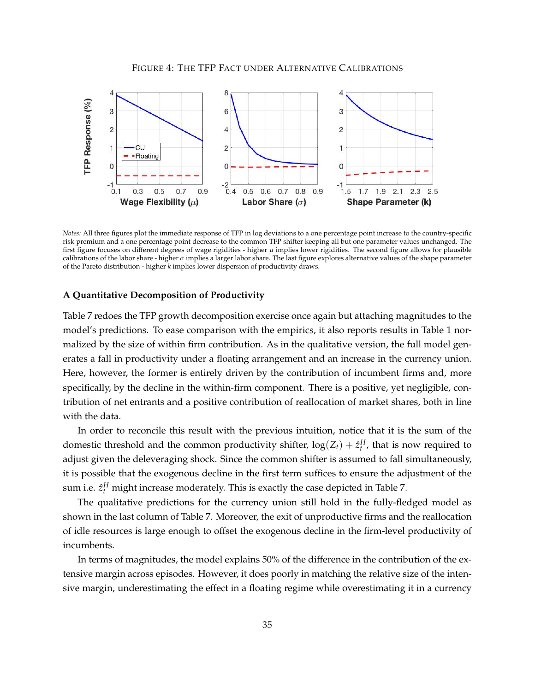

*Notes:* All three figures plot the immediate response of TFP in log deviations to a one percentage point increase to the country-specific risk premium and a one percentage point decrease to the common TFP shifter keeping all but one parameter values unchanged. The first figure focuses on different degrees of wage rigidities - higher *µ* implies lower rigidities. The second figure allows for plausible calibrations of the labor share - higher  $\sigma$  implies a larger labor share. The last figure explores alternative values of the shape parameter of the Pareto distribution - higher *k* implies lower dispersion of productivity draws.

#### **A Quantitative Decomposition of Productivity**

Table 7 redoes the TFP growth decomposition exercise once again but attaching magnitudes to the model's predictions. To ease comparison with the empirics, it also reports results in Table 1 normalized by the size of within firm contribution. As in the qualitative version, the full model generates a fall in productivity under a floating arrangement and an increase in the currency union. Here, however, the former is entirely driven by the contribution of incumbent firms and, more specifically, by the decline in the within-firm component. There is a positive, yet negligible, contribution of net entrants and a positive contribution of reallocation of market shares, both in line with the data.

In order to reconcile this result with the previous intuition, notice that it is the sum of the domestic threshold and the common productivity shifter,  $log(Z_t) + \hat{z}_t^H$ , that is now required to adjust given the deleveraging shock. Since the common shifter is assumed to fall simultaneously, it is possible that the exogenous decline in the first term suffices to ensure the adjustment of the sum i.e.  $\hat{z}^{H}_{t}$  might increase moderately. This is exactly the case depicted in Table 7.

The qualitative predictions for the currency union still hold in the fully-fledged model as shown in the last column of Table 7. Moreover, the exit of unproductive firms and the reallocation of idle resources is large enough to offset the exogenous decline in the firm-level productivity of incumbents.

In terms of magnitudes, the model explains 50% of the difference in the contribution of the extensive margin across episodes. However, it does poorly in matching the relative size of the intensive margin, underestimating the effect in a floating regime while overestimating it in a currency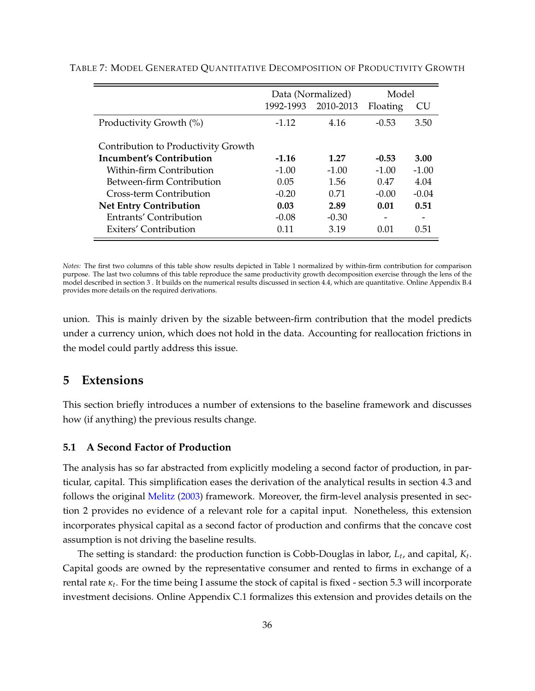|                                     | Data (Normalized) |           | Model    |         |
|-------------------------------------|-------------------|-----------|----------|---------|
|                                     | 1992-1993         | 2010-2013 | Floating | CU      |
| Productivity Growth (%)             | $-1.12$           | 4.16      | $-0.53$  | 3.50    |
| Contribution to Productivity Growth |                   |           |          |         |
| Incumbent's Contribution            | $-1.16$           | 1.27      | $-0.53$  | 3.00    |
| Within-firm Contribution            | $-1.00$           | $-1.00$   | $-1.00$  | $-1.00$ |
| Between-firm Contribution           | 0.05              | 1.56      | 0.47     | 4.04    |
| Cross-term Contribution             | $-0.20$           | 0.71      | $-0.00$  | $-0.04$ |
| <b>Net Entry Contribution</b>       | 0.03              | 2.89      | 0.01     | 0.51    |
| Entrants' Contribution              | $-0.08$           | $-0.30$   |          |         |
| Exiters' Contribution               | 0.11              | 3.19      | 0.01     | 0.51    |

#### TABLE 7: MODEL GENERATED QUANTITATIVE DECOMPOSITION OF PRODUCTIVITY GROWTH

*Notes:* The first two columns of this table show results depicted in Table 1 normalized by within-firm contribution for comparison purpose. The last two columns of this table reproduce the same productivity growth decomposition exercise through the lens of the model described in section 3 . It builds on the numerical results discussed in section 4.4, which are quantitative. Online Appendix B.4 provides more details on the required derivations.

union. This is mainly driven by the sizable between-firm contribution that the model predicts under a currency union, which does not hold in the data. Accounting for reallocation frictions in the model could partly address this issue.

# **5 Extensions**

This section briefly introduces a number of extensions to the baseline framework and discusses how (if anything) the previous results change.

# **5.1 A Second Factor of Production**

The analysis has so far abstracted from explicitly modeling a second factor of production, in particular, capital. This simplification eases the derivation of the analytical results in section 4.3 and follows the original Melitz (2003) framework. Moreover, the firm-level analysis presented in section 2 provides no evidence of a relevant role for a capital input. Nonetheless, this extension incorporates physical capital as a second factor of production and confirms that the concave cost assumption is not driving the baseline results.

The setting is standard: the production function is Cobb-Douglas in labor, *Lt*, and capital, *Kt*. Capital goods are owned by the representative consumer and rented to firms in exchange of a rental rate  $\kappa_t$ . For the time being I assume the stock of capital is fixed - section 5.3 will incorporate investment decisions. Online Appendix C.1 formalizes this extension and provides details on the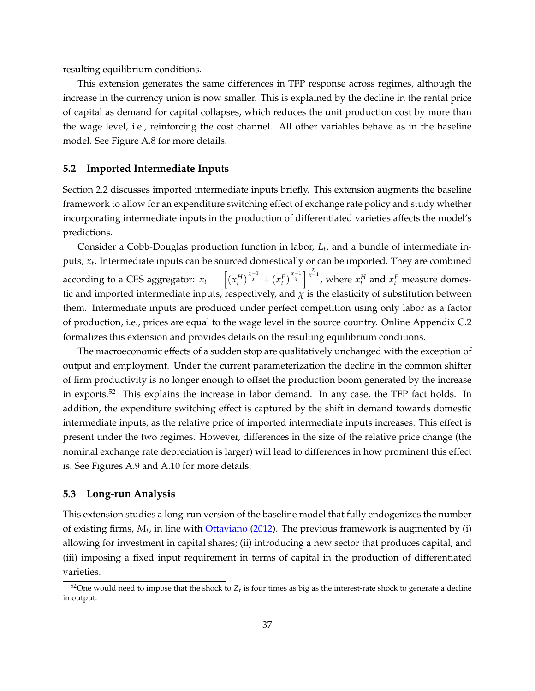resulting equilibrium conditions.

This extension generates the same differences in TFP response across regimes, although the increase in the currency union is now smaller. This is explained by the decline in the rental price of capital as demand for capital collapses, which reduces the unit production cost by more than the wage level, i.e., reinforcing the cost channel. All other variables behave as in the baseline model. See Figure A.8 for more details.

#### **5.2 Imported Intermediate Inputs**

Section 2.2 discusses imported intermediate inputs briefly. This extension augments the baseline framework to allow for an expenditure switching effect of exchange rate policy and study whether incorporating intermediate inputs in the production of differentiated varieties affects the model's predictions.

Consider a Cobb-Douglas production function in labor, *Lt*, and a bundle of intermediate inputs, *xt*. Intermediate inputs can be sourced domestically or can be imported. They are combined according to a CES aggregator:  $x_t = \left[ (x_t^H)^{\frac{\chi-1}{\chi}} + (x_t^F)^{\frac{\chi-1}{\chi}} \right]^{\frac{\chi}{\chi-1}}$ , where  $x_t^H$  and  $x_t^F$  measure domestic and imported intermediate inputs, respectively, and  $\chi$  is the elasticity of substitution between them. Intermediate inputs are produced under perfect competition using only labor as a factor of production, i.e., prices are equal to the wage level in the source country. Online Appendix C.2 formalizes this extension and provides details on the resulting equilibrium conditions.

The macroeconomic effects of a sudden stop are qualitatively unchanged with the exception of output and employment. Under the current parameterization the decline in the common shifter of firm productivity is no longer enough to offset the production boom generated by the increase in exports.<sup>52</sup> This explains the increase in labor demand. In any case, the TFP fact holds. In addition, the expenditure switching effect is captured by the shift in demand towards domestic intermediate inputs, as the relative price of imported intermediate inputs increases. This effect is present under the two regimes. However, differences in the size of the relative price change (the nominal exchange rate depreciation is larger) will lead to differences in how prominent this effect is. See Figures A.9 and A.10 for more details.

# **5.3 Long-run Analysis**

This extension studies a long-run version of the baseline model that fully endogenizes the number of existing firms, *Mt*, in line with Ottaviano (2012). The previous framework is augmented by (i) allowing for investment in capital shares; (ii) introducing a new sector that produces capital; and (iii) imposing a fixed input requirement in terms of capital in the production of differentiated varieties.

 $52$ One would need to impose that the shock to  $Z_t$  is four times as big as the interest-rate shock to generate a decline in output.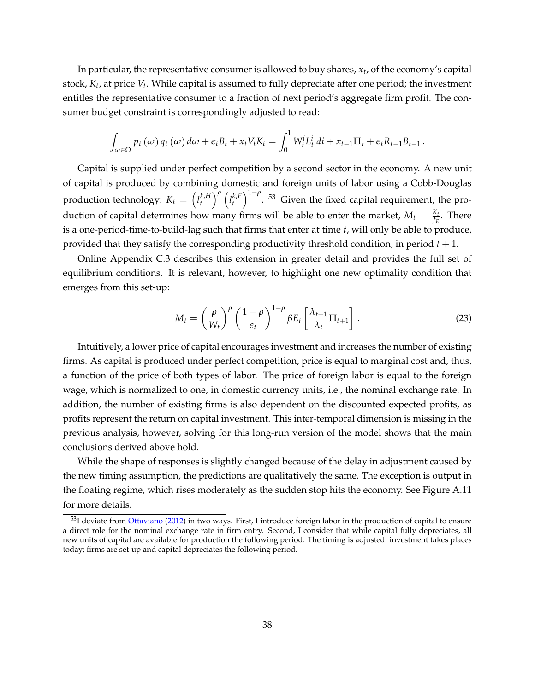In particular, the representative consumer is allowed to buy shares, *xt*, of the economy's capital stock, *Kt*, at price *Vt*. While capital is assumed to fully depreciate after one period; the investment entitles the representative consumer to a fraction of next period's aggregate firm profit. The consumer budget constraint is correspondingly adjusted to read:

$$
\int_{\omega \in \Omega} p_t(\omega) q_t(\omega) d\omega + \epsilon_t B_t + x_t V_t K_t = \int_0^1 W_t^i L_t^i \, dt + x_{t-1} \Pi_t + \epsilon_t R_{t-1} B_{t-1}.
$$

Capital is supplied under perfect competition by a second sector in the economy. A new unit of capital is produced by combining domestic and foreign units of labor using a Cobb-Douglas production technology:  $K_t = \left( l_t^{k,H} \right)$ *t*  $\int_0^{\rho}$   $\left(l_t^{k,F}\right)$ *t*  $\int_{1-\rho}^{1-\rho}$ . <sup>53</sup> Given the fixed capital requirement, the production of capital determines how many firms will be able to enter the market,  $M_t = \frac{K_t}{f_E}$ . There is a one-period-time-to-build-lag such that firms that enter at time *t*, will only be able to produce, provided that they satisfy the corresponding productivity threshold condition, in period *t* + 1.

Online Appendix C.3 describes this extension in greater detail and provides the full set of equilibrium conditions. It is relevant, however, to highlight one new optimality condition that emerges from this set-up:

$$
M_t = \left(\frac{\rho}{W_t}\right)^{\rho} \left(\frac{1-\rho}{\epsilon_t}\right)^{1-\rho} \beta E_t \left[\frac{\lambda_{t+1}}{\lambda_t} \Pi_{t+1}\right].
$$
 (23)

Intuitively, a lower price of capital encourages investment and increases the number of existing firms. As capital is produced under perfect competition, price is equal to marginal cost and, thus, a function of the price of both types of labor. The price of foreign labor is equal to the foreign wage, which is normalized to one, in domestic currency units, i.e., the nominal exchange rate. In addition, the number of existing firms is also dependent on the discounted expected profits, as profits represent the return on capital investment. This inter-temporal dimension is missing in the previous analysis, however, solving for this long-run version of the model shows that the main conclusions derived above hold.

While the shape of responses is slightly changed because of the delay in adjustment caused by the new timing assumption, the predictions are qualitatively the same. The exception is output in the floating regime, which rises moderately as the sudden stop hits the economy. See Figure A.11 for more details.

<sup>&</sup>lt;sup>53</sup>I deviate from Ottaviano (2012) in two ways. First, I introduce foreign labor in the production of capital to ensure a direct role for the nominal exchange rate in firm entry. Second, I consider that while capital fully depreciates, all new units of capital are available for production the following period. The timing is adjusted: investment takes places today; firms are set-up and capital depreciates the following period.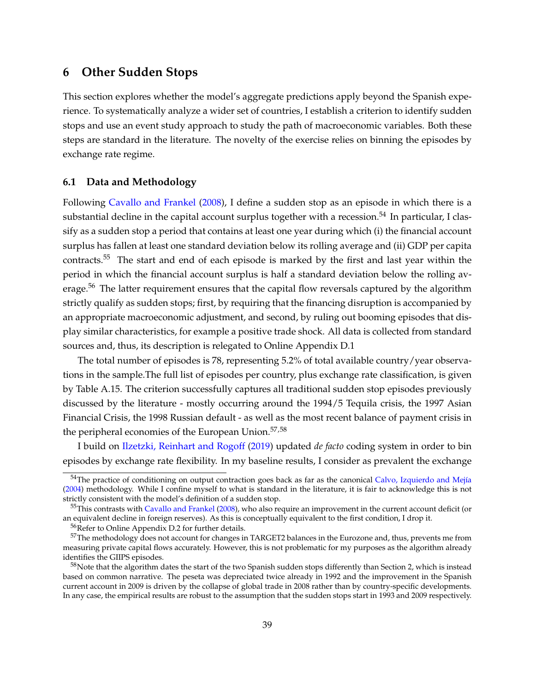# **6 Other Sudden Stops**

This section explores whether the model's aggregate predictions apply beyond the Spanish experience. To systematically analyze a wider set of countries, I establish a criterion to identify sudden stops and use an event study approach to study the path of macroeconomic variables. Both these steps are standard in the literature. The novelty of the exercise relies on binning the episodes by exchange rate regime.

# **6.1 Data and Methodology**

Following Cavallo and Frankel (2008), I define a sudden stop as an episode in which there is a substantial decline in the capital account surplus together with a recession.<sup>54</sup> In particular, I classify as a sudden stop a period that contains at least one year during which (i) the financial account surplus has fallen at least one standard deviation below its rolling average and (ii) GDP per capita contracts.55 The start and end of each episode is marked by the first and last year within the period in which the financial account surplus is half a standard deviation below the rolling average.<sup>56</sup> The latter requirement ensures that the capital flow reversals captured by the algorithm strictly qualify as sudden stops; first, by requiring that the financing disruption is accompanied by an appropriate macroeconomic adjustment, and second, by ruling out booming episodes that display similar characteristics, for example a positive trade shock. All data is collected from standard sources and, thus, its description is relegated to Online Appendix D.1

The total number of episodes is 78, representing 5.2% of total available country/year observations in the sample.The full list of episodes per country, plus exchange rate classification, is given by Table A.15. The criterion successfully captures all traditional sudden stop episodes previously discussed by the literature - mostly occurring around the 1994/5 Tequila crisis, the 1997 Asian Financial Crisis, the 1998 Russian default - as well as the most recent balance of payment crisis in the peripheral economies of the European Union.<sup>57,58</sup>

I build on Ilzetzki, Reinhart and Rogoff (2019) updated *de facto* coding system in order to bin episodes by exchange rate flexibility. In my baseline results, I consider as prevalent the exchange

<sup>&</sup>lt;sup>54</sup>The practice of conditioning on output contraction goes back as far as the canonical Calvo, Izquierdo and Mejía (2004) methodology. While I confine myself to what is standard in the literature, it is fair to acknowledge this is not strictly consistent with the model's definition of a sudden stop.

 $55$ This contrasts with Cavallo and Frankel (2008), who also require an improvement in the current account deficit (or an equivalent decline in foreign reserves). As this is conceptually equivalent to the first condition, I drop it.

<sup>56</sup>Refer to Online Appendix D.2 for further details.

<sup>&</sup>lt;sup>57</sup>The methodology does not account for changes in TARGET2 balances in the Eurozone and, thus, prevents me from measuring private capital flows accurately. However, this is not problematic for my purposes as the algorithm already identifies the GIIPS episodes.

 $58$ Note that the algorithm dates the start of the two Spanish sudden stops differently than Section 2, which is instead based on common narrative. The peseta was depreciated twice already in 1992 and the improvement in the Spanish current account in 2009 is driven by the collapse of global trade in 2008 rather than by country-specific developments. In any case, the empirical results are robust to the assumption that the sudden stops start in 1993 and 2009 respectively.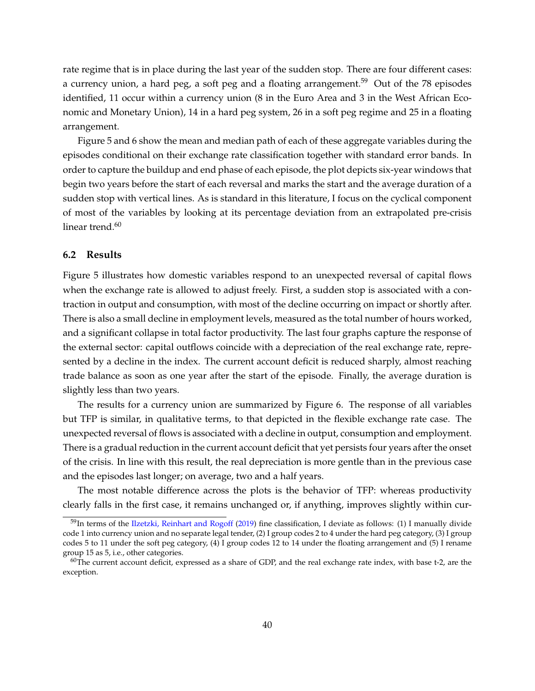rate regime that is in place during the last year of the sudden stop. There are four different cases: a currency union, a hard peg, a soft peg and a floating arrangement.<sup>59</sup> Out of the 78 episodes identified, 11 occur within a currency union (8 in the Euro Area and 3 in the West African Economic and Monetary Union), 14 in a hard peg system, 26 in a soft peg regime and 25 in a floating arrangement.

Figure 5 and 6 show the mean and median path of each of these aggregate variables during the episodes conditional on their exchange rate classification together with standard error bands. In order to capture the buildup and end phase of each episode, the plot depicts six-year windows that begin two years before the start of each reversal and marks the start and the average duration of a sudden stop with vertical lines. As is standard in this literature, I focus on the cyclical component of most of the variables by looking at its percentage deviation from an extrapolated pre-crisis linear trend.<sup>60</sup>

# **6.2 Results**

Figure 5 illustrates how domestic variables respond to an unexpected reversal of capital flows when the exchange rate is allowed to adjust freely. First, a sudden stop is associated with a contraction in output and consumption, with most of the decline occurring on impact or shortly after. There is also a small decline in employment levels, measured as the total number of hours worked, and a significant collapse in total factor productivity. The last four graphs capture the response of the external sector: capital outflows coincide with a depreciation of the real exchange rate, represented by a decline in the index. The current account deficit is reduced sharply, almost reaching trade balance as soon as one year after the start of the episode. Finally, the average duration is slightly less than two years.

The results for a currency union are summarized by Figure 6. The response of all variables but TFP is similar, in qualitative terms, to that depicted in the flexible exchange rate case. The unexpected reversal of flows is associated with a decline in output, consumption and employment. There is a gradual reduction in the current account deficit that yet persists four years after the onset of the crisis. In line with this result, the real depreciation is more gentle than in the previous case and the episodes last longer; on average, two and a half years.

The most notable difference across the plots is the behavior of TFP: whereas productivity clearly falls in the first case, it remains unchanged or, if anything, improves slightly within cur-

<sup>&</sup>lt;sup>59</sup>In terms of the Ilzetzki, Reinhart and Rogoff (2019) fine classification, I deviate as follows: (1) I manually divide code 1 into currency union and no separate legal tender, (2) I group codes 2 to 4 under the hard peg category, (3) I group codes 5 to 11 under the soft peg category, (4) I group codes 12 to 14 under the floating arrangement and (5) I rename group 15 as 5, i.e., other categories.

 $60$ The current account deficit, expressed as a share of GDP, and the real exchange rate index, with base t-2, are the exception.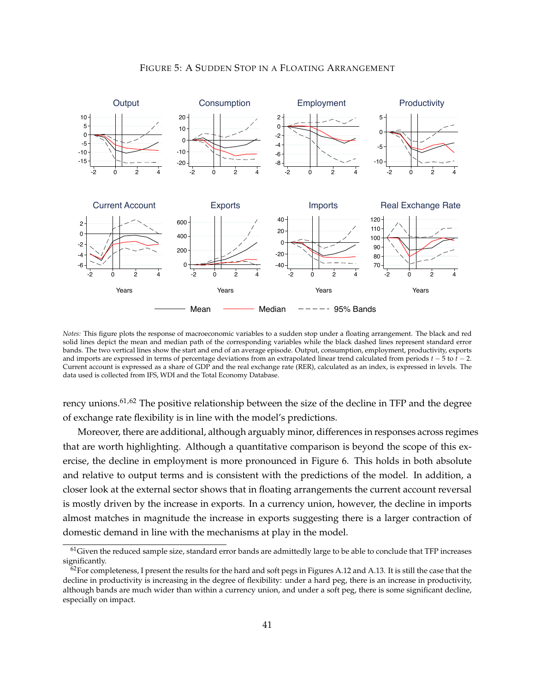

# FIGURE 5: A SUDDEN STOP IN A FLOATING ARRANGEMENT

*Notes:* This figure plots the response of macroeconomic variables to a sudden stop under a floating arrangement. The black and red solid lines depict the mean and median path of the corresponding variables while the black dashed lines represent standard error bands. The two vertical lines show the start and end of an average episode. Output, consumption, employment, productivity, exports and imports are expressed in terms of percentage deviations from an extrapolated linear trend calculated from periods  $t - 5$  to  $t - 2$ . Current account is expressed as a share of GDP and the real exchange rate (RER), calculated as an index, is expressed in levels. The data used is collected from IFS, WDI and the Total Economy Database.

rency unions.<sup>61,62</sup> The positive relationship between the size of the decline in TFP and the degree of exchange rate flexibility is in line with the model's predictions.

Moreover, there are additional, although arguably minor, differences in responses across regimes that are worth highlighting. Although a quantitative comparison is beyond the scope of this exercise, the decline in employment is more pronounced in Figure 6. This holds in both absolute and relative to output terms and is consistent with the predictions of the model. In addition, a closer look at the external sector shows that in floating arrangements the current account reversal is mostly driven by the increase in exports. In a currency union, however, the decline in imports almost matches in magnitude the increase in exports suggesting there is a larger contraction of domestic demand in line with the mechanisms at play in the model.

 $61$ Given the reduced sample size, standard error bands are admittedly large to be able to conclude that TFP increases significantly.

 $62$  For completeness, I present the results for the hard and soft pegs in Figures A.12 and A.13. It is still the case that the decline in productivity is increasing in the degree of flexibility: under a hard peg, there is an increase in productivity, although bands are much wider than within a currency union, and under a soft peg, there is some significant decline, especially on impact.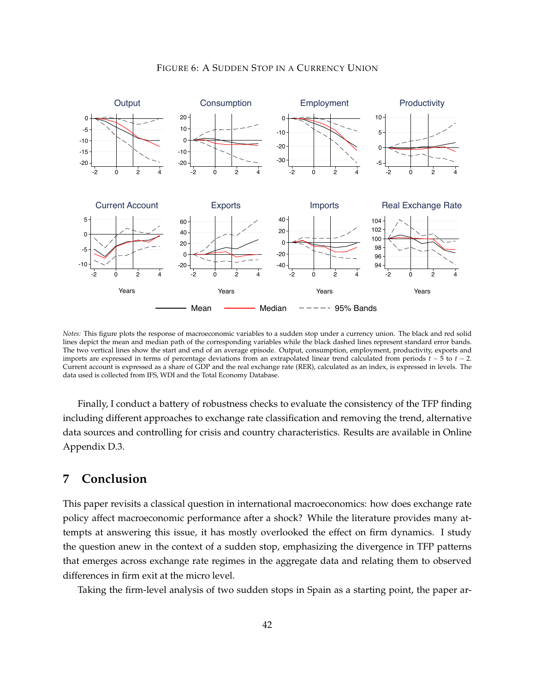

# FIGURE 6: A SUDDEN STOP IN A CURRENCY UNION

*Notes:* This figure plots the response of macroeconomic variables to a sudden stop under a currency union. The black and red solid lines depict the mean and median path of the corresponding variables while the black dashed lines represent standard error bands. The two vertical lines show the start and end of an average episode. Output, consumption, employment, productivity, exports and imports are expressed in terms of percentage deviations from an extrapolated linear trend calculated from periods  $t - 5$  to  $t - 2$ . Current account is expressed as a share of GDP and the real exchange rate (RER), calculated as an index, is expressed in levels. The data used is collected from IFS, WDI and the Total Economy Database.

Finally, I conduct a battery of robustness checks to evaluate the consistency of the TFP finding including different approaches to exchange rate classification and removing the trend, alternative data sources and controlling for crisis and country characteristics. Results are available in Online Appendix D.3.

# **7 Conclusion**

This paper revisits a classical question in international macroeconomics: how does exchange rate policy affect macroeconomic performance after a shock? While the literature provides many attempts at answering this issue, it has mostly overlooked the effect on firm dynamics. I study the question anew in the context of a sudden stop, emphasizing the divergence in TFP patterns that emerges across exchange rate regimes in the aggregate data and relating them to observed differences in firm exit at the micro level.

Taking the firm-level analysis of two sudden stops in Spain as a starting point, the paper ar-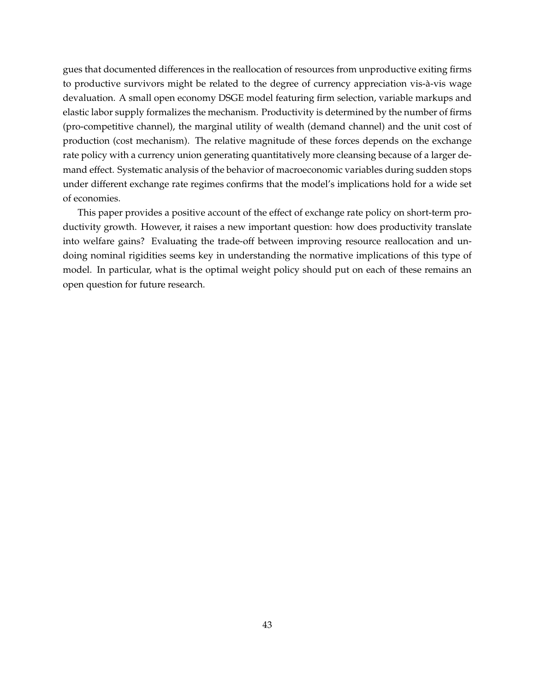gues that documented differences in the reallocation of resources from unproductive exiting firms to productive survivors might be related to the degree of currency appreciation vis-à-vis wage devaluation. A small open economy DSGE model featuring firm selection, variable markups and elastic labor supply formalizes the mechanism. Productivity is determined by the number of firms (pro-competitive channel), the marginal utility of wealth (demand channel) and the unit cost of production (cost mechanism). The relative magnitude of these forces depends on the exchange rate policy with a currency union generating quantitatively more cleansing because of a larger demand effect. Systematic analysis of the behavior of macroeconomic variables during sudden stops under different exchange rate regimes confirms that the model's implications hold for a wide set of economies.

This paper provides a positive account of the effect of exchange rate policy on short-term productivity growth. However, it raises a new important question: how does productivity translate into welfare gains? Evaluating the trade-off between improving resource reallocation and undoing nominal rigidities seems key in understanding the normative implications of this type of model. In particular, what is the optimal weight policy should put on each of these remains an open question for future research.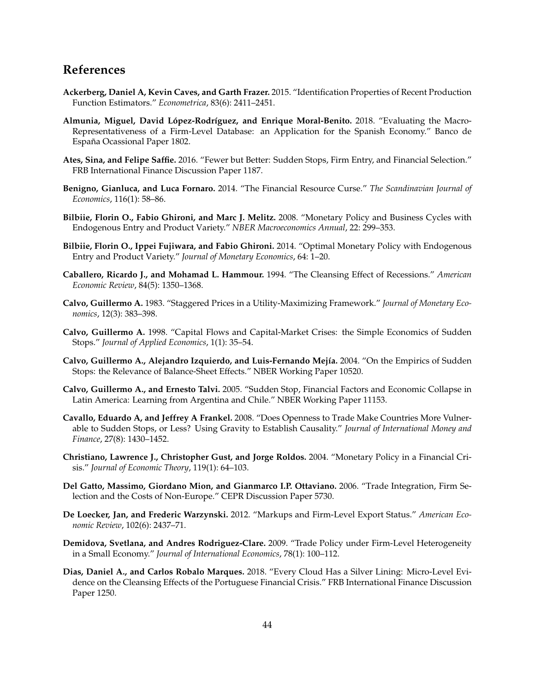# **References**

- **Ackerberg, Daniel A, Kevin Caves, and Garth Frazer.** 2015. "Identification Properties of Recent Production Function Estimators." *Econometrica*, 83(6): 2411–2451.
- Almunia, Miguel, David López-Rodríguez, and Enrique Moral-Benito. 2018. "Evaluating the Macro-Representativeness of a Firm-Level Database: an Application for the Spanish Economy." Banco de España Ocassional Paper 1802.
- **Ates, Sina, and Felipe Saffie.** 2016. "Fewer but Better: Sudden Stops, Firm Entry, and Financial Selection." FRB International Finance Discussion Paper 1187.
- **Benigno, Gianluca, and Luca Fornaro.** 2014. "The Financial Resource Curse." *The Scandinavian Journal of Economics*, 116(1): 58–86.
- **Bilbiie, Florin O., Fabio Ghironi, and Marc J. Melitz.** 2008. "Monetary Policy and Business Cycles with Endogenous Entry and Product Variety." *NBER Macroeconomics Annual*, 22: 299–353.
- **Bilbiie, Florin O., Ippei Fujiwara, and Fabio Ghironi.** 2014. "Optimal Monetary Policy with Endogenous Entry and Product Variety." *Journal of Monetary Economics*, 64: 1–20.
- **Caballero, Ricardo J., and Mohamad L. Hammour.** 1994. "The Cleansing Effect of Recessions." *American Economic Review*, 84(5): 1350–1368.
- **Calvo, Guillermo A.** 1983. "Staggered Prices in a Utility-Maximizing Framework." *Journal of Monetary Economics*, 12(3): 383–398.
- **Calvo, Guillermo A.** 1998. "Capital Flows and Capital-Market Crises: the Simple Economics of Sudden Stops." *Journal of Applied Economics*, 1(1): 35–54.
- **Calvo, Guillermo A., Alejandro Izquierdo, and Luis-Fernando Mej´ıa.** 2004. "On the Empirics of Sudden Stops: the Relevance of Balance-Sheet Effects." NBER Working Paper 10520.
- **Calvo, Guillermo A., and Ernesto Talvi.** 2005. "Sudden Stop, Financial Factors and Economic Collapse in Latin America: Learning from Argentina and Chile." NBER Working Paper 11153.
- **Cavallo, Eduardo A, and Jeffrey A Frankel.** 2008. "Does Openness to Trade Make Countries More Vulnerable to Sudden Stops, or Less? Using Gravity to Establish Causality." *Journal of International Money and Finance*, 27(8): 1430–1452.
- **Christiano, Lawrence J., Christopher Gust, and Jorge Roldos.** 2004. "Monetary Policy in a Financial Crisis." *Journal of Economic Theory*, 119(1): 64–103.
- **Del Gatto, Massimo, Giordano Mion, and Gianmarco I.P. Ottaviano.** 2006. "Trade Integration, Firm Selection and the Costs of Non-Europe." CEPR Discussion Paper 5730.
- **De Loecker, Jan, and Frederic Warzynski.** 2012. "Markups and Firm-Level Export Status." *American Economic Review*, 102(6): 2437–71.
- **Demidova, Svetlana, and Andres Rodriguez-Clare.** 2009. "Trade Policy under Firm-Level Heterogeneity in a Small Economy." *Journal of International Economics*, 78(1): 100–112.
- **Dias, Daniel A., and Carlos Robalo Marques.** 2018. "Every Cloud Has a Silver Lining: Micro-Level Evidence on the Cleansing Effects of the Portuguese Financial Crisis." FRB International Finance Discussion Paper 1250.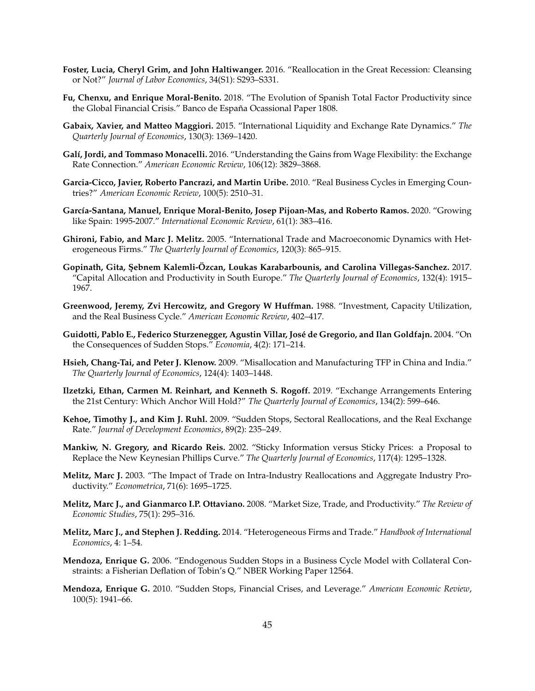- **Foster, Lucia, Cheryl Grim, and John Haltiwanger.** 2016. "Reallocation in the Great Recession: Cleansing or Not?" *Journal of Labor Economics*, 34(S1): S293–S331.
- **Fu, Chenxu, and Enrique Moral-Benito.** 2018. "The Evolution of Spanish Total Factor Productivity since the Global Financial Crisis." Banco de España Ocassional Paper 1808.
- **Gabaix, Xavier, and Matteo Maggiori.** 2015. "International Liquidity and Exchange Rate Dynamics." *The Quarterly Journal of Economics*, 130(3): 1369–1420.
- **Gal´ı, Jordi, and Tommaso Monacelli.** 2016. "Understanding the Gains from Wage Flexibility: the Exchange Rate Connection." *American Economic Review*, 106(12): 3829–3868.
- **Garcia-Cicco, Javier, Roberto Pancrazi, and Martin Uribe.** 2010. "Real Business Cycles in Emerging Countries?" *American Economic Review*, 100(5): 2510–31.
- **Garc´ıa-Santana, Manuel, Enrique Moral-Benito, Josep Pijoan-Mas, and Roberto Ramos.** 2020. "Growing like Spain: 1995-2007." *International Economic Review*, 61(1): 383–416.
- **Ghironi, Fabio, and Marc J. Melitz.** 2005. "International Trade and Macroeconomic Dynamics with Heterogeneous Firms." *The Quarterly Journal of Economics*, 120(3): 865–915.
- **Gopinath, Gita, S¸ ebnem Kalemli-Ozcan, Loukas Karabarbounis, and Carolina Villegas-Sanchez. ¨** 2017. "Capital Allocation and Productivity in South Europe." *The Quarterly Journal of Economics*, 132(4): 1915– 1967.
- **Greenwood, Jeremy, Zvi Hercowitz, and Gregory W Huffman.** 1988. "Investment, Capacity Utilization, and the Real Business Cycle." *American Economic Review*, 402–417.
- Guidotti, Pablo E., Federico Sturzenegger, Agustin Villar, José de Gregorio, and Ilan Goldfajn. 2004. "On the Consequences of Sudden Stops." *Economia*, 4(2): 171–214.
- **Hsieh, Chang-Tai, and Peter J. Klenow.** 2009. "Misallocation and Manufacturing TFP in China and India." *The Quarterly Journal of Economics*, 124(4): 1403–1448.
- **Ilzetzki, Ethan, Carmen M. Reinhart, and Kenneth S. Rogoff.** 2019. "Exchange Arrangements Entering the 21st Century: Which Anchor Will Hold?" *The Quarterly Journal of Economics*, 134(2): 599–646.
- **Kehoe, Timothy J., and Kim J. Ruhl.** 2009. "Sudden Stops, Sectoral Reallocations, and the Real Exchange Rate." *Journal of Development Economics*, 89(2): 235–249.
- **Mankiw, N. Gregory, and Ricardo Reis.** 2002. "Sticky Information versus Sticky Prices: a Proposal to Replace the New Keynesian Phillips Curve." *The Quarterly Journal of Economics*, 117(4): 1295–1328.
- **Melitz, Marc J.** 2003. "The Impact of Trade on Intra-Industry Reallocations and Aggregate Industry Productivity." *Econometrica*, 71(6): 1695–1725.
- **Melitz, Marc J., and Gianmarco I.P. Ottaviano.** 2008. "Market Size, Trade, and Productivity." *The Review of Economic Studies*, 75(1): 295–316.
- **Melitz, Marc J., and Stephen J. Redding.** 2014. "Heterogeneous Firms and Trade." *Handbook of International Economics*, 4: 1–54.
- **Mendoza, Enrique G.** 2006. "Endogenous Sudden Stops in a Business Cycle Model with Collateral Constraints: a Fisherian Deflation of Tobin's Q." NBER Working Paper 12564.
- **Mendoza, Enrique G.** 2010. "Sudden Stops, Financial Crises, and Leverage." *American Economic Review*, 100(5): 1941–66.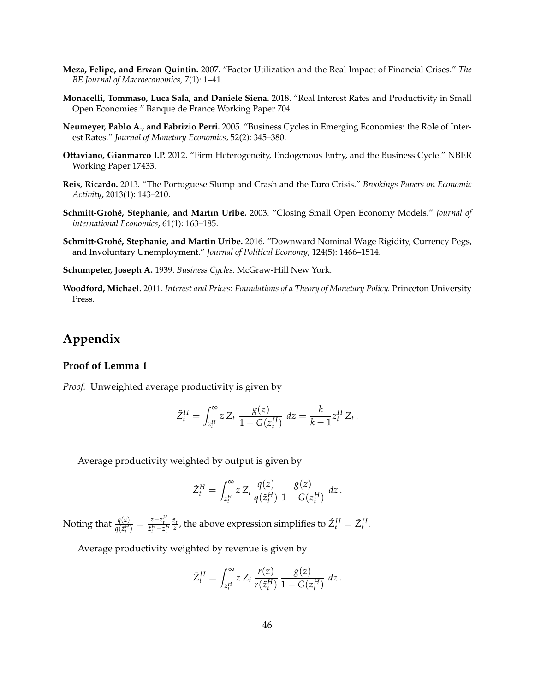- **Meza, Felipe, and Erwan Quintin.** 2007. "Factor Utilization and the Real Impact of Financial Crises." *The BE Journal of Macroeconomics*, 7(1): 1–41.
- **Monacelli, Tommaso, Luca Sala, and Daniele Siena.** 2018. "Real Interest Rates and Productivity in Small Open Economies." Banque de France Working Paper 704.
- **Neumeyer, Pablo A., and Fabrizio Perri.** 2005. "Business Cycles in Emerging Economies: the Role of Interest Rates." *Journal of Monetary Economics*, 52(2): 345–380.
- **Ottaviano, Gianmarco I.P.** 2012. "Firm Heterogeneity, Endogenous Entry, and the Business Cycle." NBER Working Paper 17433.
- **Reis, Ricardo.** 2013. "The Portuguese Slump and Crash and the Euro Crisis." *Brookings Papers on Economic Activity*, 2013(1): 143–210.
- **Schmitt-Groh´e, Stephanie, and Martın Uribe.** 2003. "Closing Small Open Economy Models." *Journal of international Economics*, 61(1): 163–185.
- **Schmitt-Groh´e, Stephanie, and Martin Uribe.** 2016. "Downward Nominal Wage Rigidity, Currency Pegs, and Involuntary Unemployment." *Journal of Political Economy*, 124(5): 1466–1514.
- **Schumpeter, Joseph A.** 1939. *Business Cycles.* McGraw-Hill New York.
- **Woodford, Michael.** 2011. *Interest and Prices: Foundations of a Theory of Monetary Policy.* Princeton University Press.

# **Appendix**

# **Proof of Lemma 1**

*Proof.* Unweighted average productivity is given by

$$
\tilde{Z}_{t}^{H} = \int_{z_{t}^{H}}^{\infty} z Z_{t} \frac{g(z)}{1 - G(z_{t}^{H})} dz = \frac{k}{k - 1} z_{t}^{H} Z_{t}.
$$

Average productivity weighted by output is given by

$$
\hat{Z}_{t}^{H} = \int_{z_{t}^{H}}^{\infty} z Z_{t} \frac{q(z)}{q(\tilde{z}_{t}^{H})} \frac{g(z)}{1 - G(z_{t}^{H})} dz.
$$

Noting that  $\frac{q(z)}{q(\tilde{z}_t^H)} = \frac{z - z_t^H}{\tilde{z}_t^H - z_t^H}$  $\frac{\tilde{z}_t}{z}$ , the above expression simplifies to  $\tilde{Z}_t^H = \tilde{Z}_t^H$ .

Average productivity weighted by revenue is given by

$$
\bar{Z}_{t}^{H} = \int_{z_{t}^{H}}^{\infty} z Z_{t} \, \frac{r(z)}{r(\tilde{z}_{t}^{H})} \, \frac{g(z)}{1 - G(z_{t}^{H})} \, dz \, .
$$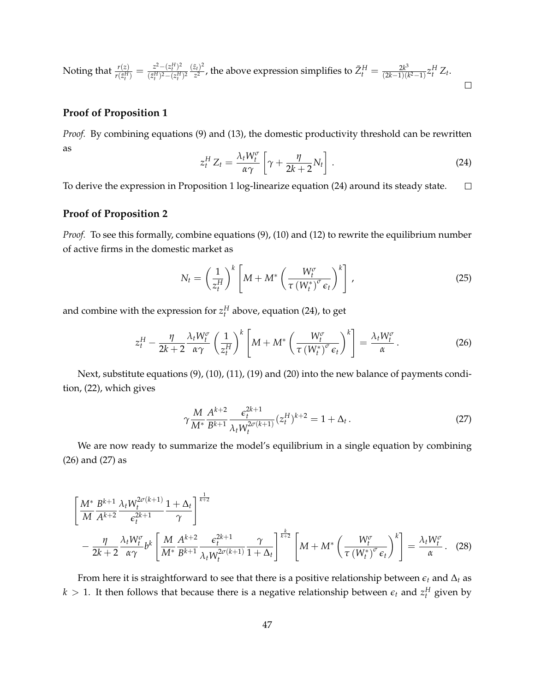Noting that  $\frac{r(z)}{r(\tilde{z}_t^H)} = \frac{z^2 - (z_t^H)^2}{(\tilde{z}_t^H)^2 - (z_t^H)}$  $\frac{(z_t)^2}{z^2}$ , the above expression simplifies to  $\bar{Z}_t^H = \frac{2k^3}{(2k-1)(k^2-1)}z_t^H Z_t$ .  $(z_t^H)^2 - (z_t^H)^2$  $\Box$ 

# **Proof of Proposition 1**

*Proof.* By combining equations (9) and (13), the domestic productivity threshold can be rewritten as

$$
z_t^H Z_t = \frac{\lambda_t W_t^{\sigma}}{\alpha \gamma} \left[ \gamma + \frac{\eta}{2k + 2} N_t \right]. \tag{24}
$$

To derive the expression in Proposition 1 log-linearize equation (24) around its steady state.  $\Box$ 

#### **Proof of Proposition 2**

*Proof.* To see this formally, combine equations (9), (10) and (12) to rewrite the equilibrium number of active firms in the domestic market as

$$
N_t = \left(\frac{1}{z_t^H}\right)^k \left[M + M^* \left(\frac{W_t^{\sigma}}{\tau \left(W_t^*\right)^{\sigma} \epsilon_t}\right)^k\right],
$$
\n(25)

and combine with the expression for  $z_t^H$  above, equation (24), to get

$$
z_t^H - \frac{\eta}{2k+2} \frac{\lambda_t W_t^{\sigma}}{\alpha \gamma} \left(\frac{1}{z_t^H}\right)^k \left[M + M^* \left(\frac{W_t^{\sigma}}{\tau \left(W_t^*\right)^{\sigma} \epsilon_t}\right)^k\right] = \frac{\lambda_t W_t^{\sigma}}{\alpha}.
$$
 (26)

Next, substitute equations (9), (10), (11), (19) and (20) into the new balance of payments condition, (22), which gives

$$
\gamma \frac{M}{M^*} \frac{A^{k+2}}{B^{k+1}} \frac{\epsilon_t^{2k+1}}{\lambda_t W_t^{2\sigma(k+1)}} (z_t^H)^{k+2} = 1 + \Delta_t.
$$
 (27)

We are now ready to summarize the model's equilibrium in a single equation by combining (26) and (27) as

$$
\left[\frac{M^*}{M}\frac{B^{k+1}}{A^{k+2}}\frac{\lambda_t W_t^{2\sigma(k+1)}}{\epsilon_t^{2k+1}}\frac{1+\Delta_t}{\gamma}\right]^{\frac{1}{k+2}} - \frac{\eta}{2k+2}\frac{\lambda_t W_t^{\sigma}}{\alpha \gamma}b^k \left[\frac{M}{M^*}\frac{A^{k+2}}{B^{k+1}}\frac{\epsilon_t^{2k+1}}{\lambda_t W_t^{2\sigma(k+1)}}\frac{\gamma}{1+\Delta_t}\right]^{\frac{k}{k+2}} \left[M + M^*\left(\frac{W_t^{\sigma}}{\tau(W_t^*)^{\sigma}\epsilon_t}\right)^k\right] = \frac{\lambda_t W_t^{\sigma}}{\alpha}.
$$
 (28)

From here it is straightforward to see that there is a positive relationship between  $\epsilon_t$  and  $\Delta_t$  as  $k > 1$ . It then follows that because there is a negative relationship between  $\epsilon_t$  and  $z_t^H$  given by